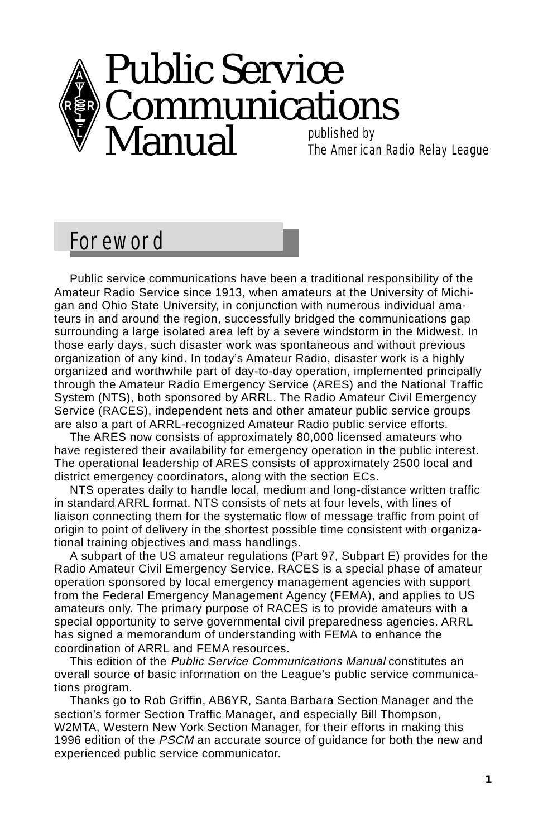## published by **R L R Public Service** ommunications anual

The American Radio Relay League

## Foreword

Public service communications have been a traditional responsibility of the Amateur Radio Service since 1913, when amateurs at the University of Michigan and Ohio State University, in conjunction with numerous individual amateurs in and around the region, successfully bridged the communications gap surrounding a large isolated area left by a severe windstorm in the Midwest. In those early days, such disaster work was spontaneous and without previous organization of any kind. In today's Amateur Radio, disaster work is a highly organized and worthwhile part of day-to-day operation, implemented principally through the Amateur Radio Emergency Service (ARES) and the National Traffic System (NTS), both sponsored by ARRL. The Radio Amateur Civil Emergency Service (RACES), independent nets and other amateur public service groups are also a part of ARRL-recognized Amateur Radio public service efforts.

The ARES now consists of approximately 80,000 licensed amateurs who have registered their availability for emergency operation in the public interest. The operational leadership of ARES consists of approximately 2500 local and district emergency coordinators, along with the section ECs.

NTS operates daily to handle local, medium and long-distance written traffic in standard ARRL format. NTS consists of nets at four levels, with lines of liaison connecting them for the systematic flow of message traffic from point of origin to point of delivery in the shortest possible time consistent with organizational training objectives and mass handlings.

A subpart of the US amateur regulations (Part 97, Subpart E) provides for the Radio Amateur Civil Emergency Service. RACES is a special phase of amateur operation sponsored by local emergency management agencies with support from the Federal Emergency Management Agency (FEMA), and applies to US amateurs only. The primary purpose of RACES is to provide amateurs with a special opportunity to serve governmental civil preparedness agencies. ARRL has signed a memorandum of understanding with FEMA to enhance the coordination of ARRL and FEMA resources.

This edition of the Public Service Communications Manual constitutes an overall source of basic information on the League's public service communications program.

Thanks go to Rob Griffin, AB6YR, Santa Barbara Section Manager and the section's former Section Traffic Manager, and especially Bill Thompson, W2MTA, Western New York Section Manager, for their efforts in making this 1996 edition of the PSCM an accurate source of guidance for both the new and experienced public service communicator.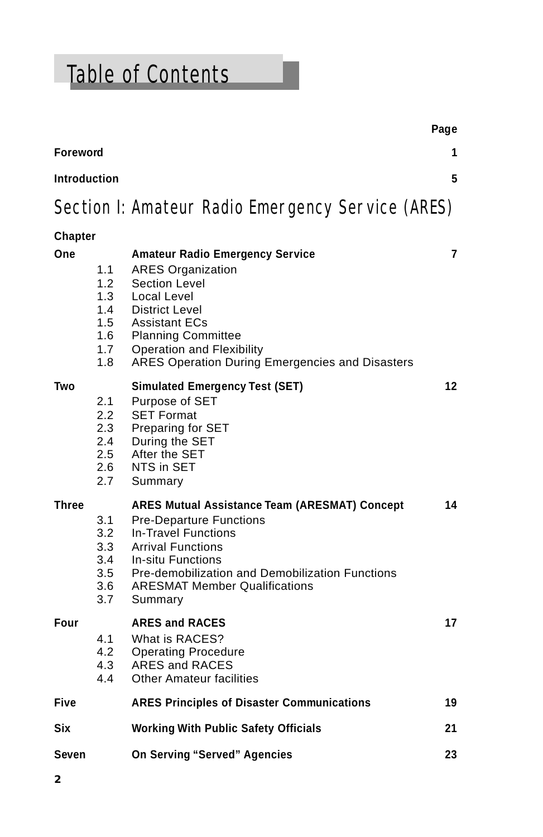## Table of Contents

|                                                      |                                                                                                                                                                                                                                                                             | Page                                              |
|------------------------------------------------------|-----------------------------------------------------------------------------------------------------------------------------------------------------------------------------------------------------------------------------------------------------------------------------|---------------------------------------------------|
|                                                      |                                                                                                                                                                                                                                                                             | 1                                                 |
|                                                      |                                                                                                                                                                                                                                                                             | 5                                                 |
|                                                      |                                                                                                                                                                                                                                                                             |                                                   |
|                                                      |                                                                                                                                                                                                                                                                             |                                                   |
| 1.1<br>1.2<br>1.3<br>1.4<br>1.5<br>1.6<br>1.7<br>1.8 | <b>Amateur Radio Emergency Service</b><br><b>ARES Organization</b><br><b>Section Level</b><br>Local Level<br>District Level<br><b>Assistant ECs</b><br><b>Planning Committee</b><br><b>Operation and Flexibility</b><br>ARES Operation During Emergencies and Disasters     | 7                                                 |
| 2.1<br>2.2<br>2.3<br>2.4<br>2.5<br>2.6<br>2.7        | <b>Simulated Emergency Test (SET)</b><br>Purpose of SET<br><b>SET Format</b><br>Preparing for SET<br>During the SET<br>After the SET<br>NTS in SET<br>Summary                                                                                                               | 12                                                |
| 3.1<br>3.2<br>3.3<br>3.4<br>3.5<br>3.6<br>3.7        | <b>ARES Mutual Assistance Team (ARESMAT) Concept</b><br><b>Pre-Departure Functions</b><br><b>In-Travel Functions</b><br><b>Arrival Functions</b><br>In-situ Functions<br>Pre-demobilization and Demobilization Functions<br><b>ARESMAT Member Qualifications</b><br>Summary | 14                                                |
| 4.1<br>4.2<br>4.3<br>4.4                             | <b>ARES and RACES</b><br>What is RACES?<br><b>Operating Procedure</b><br>ARES and RACES<br><b>Other Amateur facilities</b>                                                                                                                                                  | 17                                                |
|                                                      | <b>ARES Principles of Disaster Communications</b>                                                                                                                                                                                                                           | 19                                                |
|                                                      | <b>Working With Public Safety Officials</b>                                                                                                                                                                                                                                 | 21                                                |
|                                                      | On Serving "Served" Agencies                                                                                                                                                                                                                                                | 23                                                |
|                                                      | Foreword<br>Introduction<br><b>Chapter</b>                                                                                                                                                                                                                                  | Section I: Amateur Radio Emergency Service (ARES) |

**2**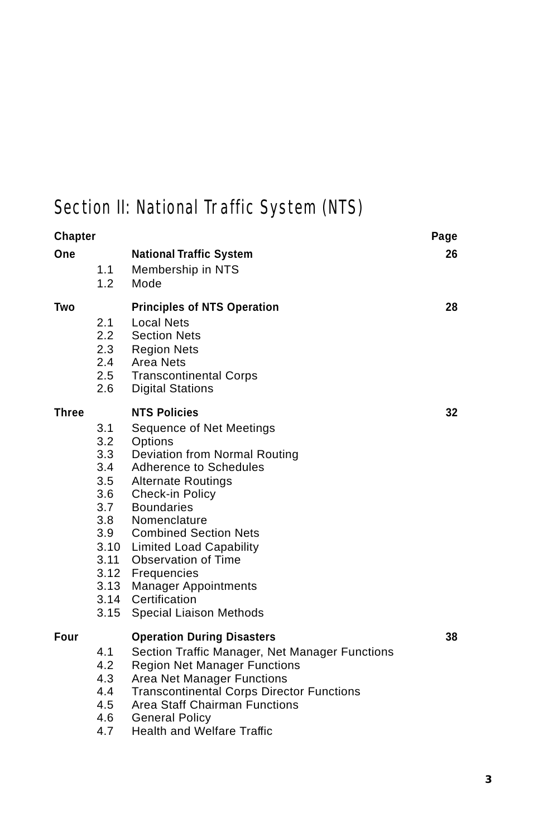## Section II: National Traffic System (NTS)

| Chapter |                                                                                                          |                                                                                                                                                                                                                                                                                                                                                                                                  | Page |
|---------|----------------------------------------------------------------------------------------------------------|--------------------------------------------------------------------------------------------------------------------------------------------------------------------------------------------------------------------------------------------------------------------------------------------------------------------------------------------------------------------------------------------------|------|
| One     | 1.1<br>1.2                                                                                               | <b>National Traffic System</b><br>Membership in NTS<br>Mode                                                                                                                                                                                                                                                                                                                                      | 26   |
| Two     | 2.1<br>2.2<br>2.3<br>2.4<br>2.5<br>2.6                                                                   | <b>Principles of NTS Operation</b><br><b>Local Nets</b><br><b>Section Nets</b><br><b>Region Nets</b><br>Area Nets<br><b>Transcontinental Corps</b><br><b>Digital Stations</b>                                                                                                                                                                                                                    | 28   |
| Three   | 3.1<br>3.2<br>3.3 <sub>2</sub><br>3.4<br>3.5<br>3.6<br>3.7<br>3.8<br>3.9<br>3.11<br>3.12<br>3.13<br>3.15 | <b>NTS Policies</b><br>Sequence of Net Meetings<br>Options<br>Deviation from Normal Routing<br>Adherence to Schedules<br><b>Alternate Routings</b><br>Check-in Policy<br><b>Boundaries</b><br>Nomenclature<br><b>Combined Section Nets</b><br>3.10 Limited Load Capability<br>Observation of Time<br>Frequencies<br><b>Manager Appointments</b><br>3.14 Certification<br>Special Liaison Methods | 32   |
| Four    | 4.1<br>4.2<br>4.3<br>4.4<br>4.5<br>4.6<br>4.7                                                            | <b>Operation During Disasters</b><br>Section Traffic Manager, Net Manager Functions<br><b>Region Net Manager Functions</b><br>Area Net Manager Functions<br><b>Transcontinental Corps Director Functions</b><br>Area Staff Chairman Functions<br><b>General Policy</b><br><b>Health and Welfare Traffic</b>                                                                                      | 38   |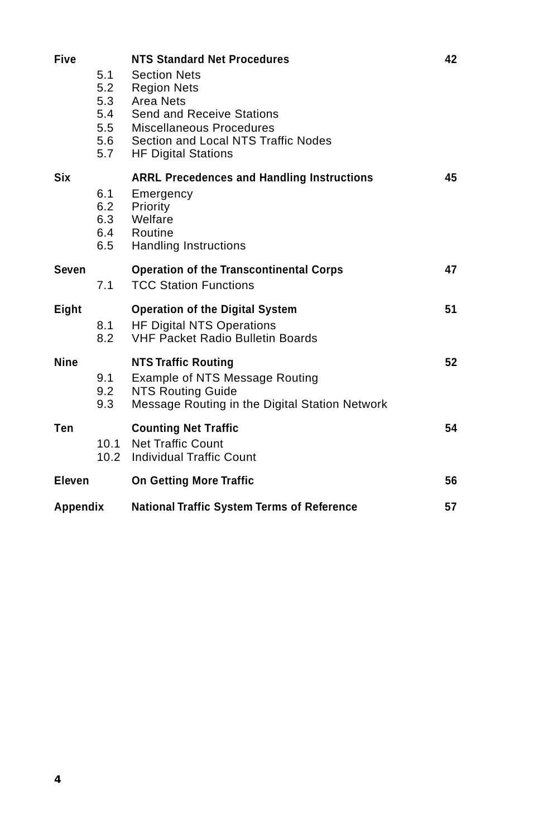| Eleven      | 9.1<br>9.2<br>9.3               | Example of NTS Message Routing<br><b>NTS Routing Guide</b><br>Message Routing in the Digital Station Network<br><b>Counting Net Traffic</b><br>10.1 Net Traffic Count<br>10.2 Individual Traffic Count<br><b>On Getting More Traffic</b> | 54<br>56 |
|-------------|---------------------------------|------------------------------------------------------------------------------------------------------------------------------------------------------------------------------------------------------------------------------------------|----------|
| <b>Ten</b>  |                                 |                                                                                                                                                                                                                                          |          |
| <b>Nine</b> |                                 | <b>NTS Traffic Routing</b>                                                                                                                                                                                                               | 52       |
| Eight       | 8.1<br>8.2                      | <b>Operation of the Digital System</b><br><b>HF Digital NTS Operations</b><br><b>VHF Packet Radio Bulletin Boards</b>                                                                                                                    | 51       |
| Seven       | 7.1                             | <b>Operation of the Transcontinental Corps</b><br><b>TCC Station Functions</b>                                                                                                                                                           | 47       |
| Six         | 6.1<br>6.2<br>6.3<br>6.4<br>6.5 | <b>ARRL Precedences and Handling Instructions</b><br>Emergency<br>Priority<br>Welfare<br>Routine<br>Handling Instructions                                                                                                                | 45       |
| <b>Five</b> | 5.1<br>5.2<br>5.6<br>5.7        | <b>NTS Standard Net Procedures</b><br><b>Section Nets</b><br><b>Region Nets</b><br>5.3 Area Nets<br>5.4 Send and Receive Stations<br>5.5 Miscellaneous Procedures<br>Section and Local NTS Traffic Nodes<br><b>HF Digital Stations</b>   | 42       |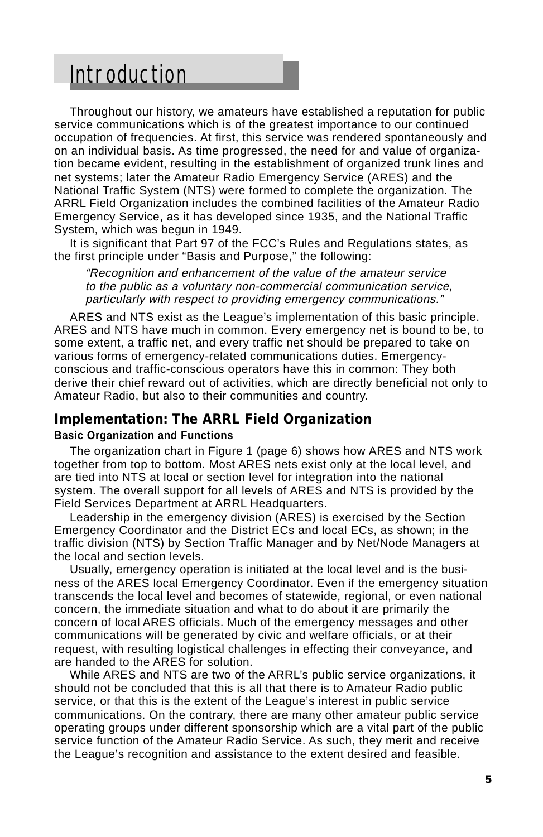## Introduction

Throughout our history, we amateurs have established a reputation for public service communications which is of the greatest importance to our continued occupation of frequencies. At first, this service was rendered spontaneously and on an individual basis. As time progressed, the need for and value of organization became evident, resulting in the establishment of organized trunk lines and net systems; later the Amateur Radio Emergency Service (ARES) and the National Traffic System (NTS) were formed to complete the organization. The ARRL Field Organization includes the combined facilities of the Amateur Radio Emergency Service, as it has developed since 1935, and the National Traffic System, which was begun in 1949.

It is significant that Part 97 of the FCC's Rules and Regulations states, as the first principle under "Basis and Purpose," the following:

"Recognition and enhancement of the value of the amateur service to the public as a voluntary non-commercial communication service, particularly with respect to providing emergency communications."

ARES and NTS exist as the League's implementation of this basic principle. ARES and NTS have much in common. Every emergency net is bound to be, to some extent, a traffic net, and every traffic net should be prepared to take on various forms of emergency-related communications duties. Emergencyconscious and traffic-conscious operators have this in common: They both derive their chief reward out of activities, which are directly beneficial not only to Amateur Radio, but also to their communities and country.

### **Implementation: The ARRL Field Organization**

#### **Basic Organization and Functions**

The organization chart in Figure 1 (page 6) shows how ARES and NTS work together from top to bottom. Most ARES nets exist only at the local level, and are tied into NTS at local or section level for integration into the national system. The overall support for all levels of ARES and NTS is provided by the Field Services Department at ARRL Headquarters.

Leadership in the emergency division (ARES) is exercised by the Section Emergency Coordinator and the District ECs and local ECs, as shown; in the traffic division (NTS) by Section Traffic Manager and by Net/Node Managers at the local and section levels.

Usually, emergency operation is initiated at the local level and is the business of the ARES local Emergency Coordinator. Even if the emergency situation transcends the local level and becomes of statewide, regional, or even national concern, the immediate situation and what to do about it are primarily the concern of local ARES officials. Much of the emergency messages and other communications will be generated by civic and welfare officials, or at their request, with resulting logistical challenges in effecting their conveyance, and are handed to the ARES for solution.

While ARES and NTS are two of the ARRL's public service organizations, it should not be concluded that this is all that there is to Amateur Radio public service, or that this is the extent of the League's interest in public service communications. On the contrary, there are many other amateur public service operating groups under different sponsorship which are a vital part of the public service function of the Amateur Radio Service. As such, they merit and receive the League's recognition and assistance to the extent desired and feasible.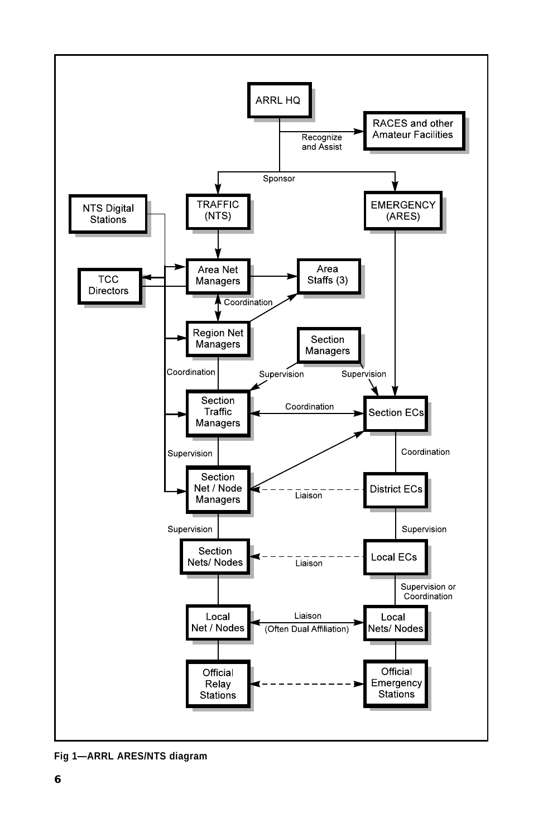

**Fig 1—ARRL ARES/NTS diagram**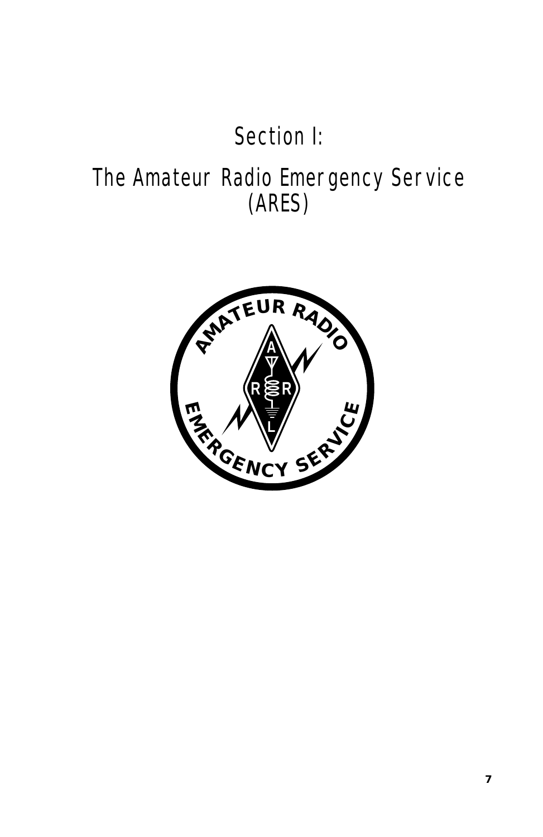## Section I:

## The Amateur Radio Emergency Service (ARES)

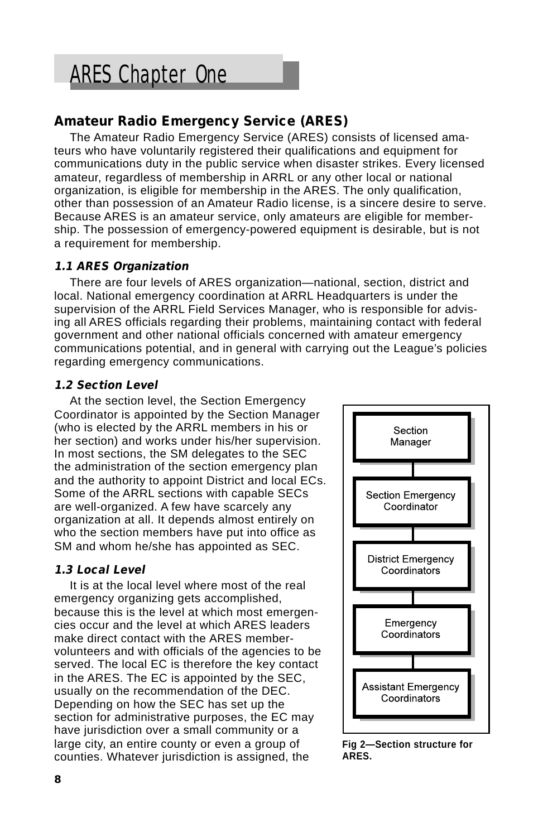## ARES Chapter One

## **Amateur Radio Emergency Service (ARES)**

The Amateur Radio Emergency Service (ARES) consists of licensed amateurs who have voluntarily registered their qualifications and equipment for communications duty in the public service when disaster strikes. Every licensed amateur, regardless of membership in ARRL or any other local or national organization, is eligible for membership in the ARES. The only qualification, other than possession of an Amateur Radio license, is a sincere desire to serve. Because ARES is an amateur service, only amateurs are eligible for membership. The possession of emergency-powered equipment is desirable, but is not a requirement for membership.

### **1.1 ARES Organization**

There are four levels of ARES organization—national, section, district and local. National emergency coordination at ARRL Headquarters is under the supervision of the ARRL Field Services Manager, who is responsible for advising all ARES officials regarding their problems, maintaining contact with federal government and other national officials concerned with amateur emergency communications potential, and in general with carrying out the League's policies regarding emergency communications.

## **1.2 Section Level**

At the section level, the Section Emergency Coordinator is appointed by the Section Manager (who is elected by the ARRL members in his or her section) and works under his/her supervision. In most sections, the SM delegates to the SEC the administration of the section emergency plan and the authority to appoint District and local ECs. Some of the ARRL sections with capable SECs are well-organized. A few have scarcely any organization at all. It depends almost entirely on who the section members have put into office as SM and whom he/she has appointed as SEC.

### **1.3 Local Level**

It is at the local level where most of the real emergency organizing gets accomplished, because this is the level at which most emergencies occur and the level at which ARES leaders make direct contact with the ARES membervolunteers and with officials of the agencies to be served. The local EC is therefore the key contact in the ARES. The EC is appointed by the SEC, usually on the recommendation of the DEC. Depending on how the SEC has set up the section for administrative purposes, the EC may have jurisdiction over a small community or a large city, an entire county or even a group of counties. Whatever jurisdiction is assigned, the



**Fig 2—Section structure for ARES.**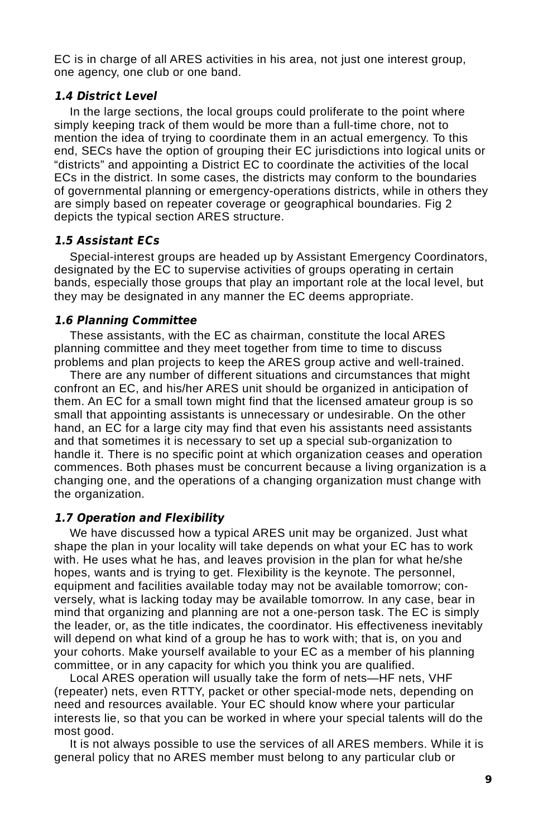EC is in charge of all ARES activities in his area, not just one interest group, one agency, one club or one band.

#### **1.4 District Level**

In the large sections, the local groups could proliferate to the point where simply keeping track of them would be more than a full-time chore, not to mention the idea of trying to coordinate them in an actual emergency. To this end, SECs have the option of grouping their EC jurisdictions into logical units or "districts" and appointing a District EC to coordinate the activities of the local ECs in the district. In some cases, the districts may conform to the boundaries of governmental planning or emergency-operations districts, while in others they are simply based on repeater coverage or geographical boundaries. Fig 2 depicts the typical section ARES structure.

### **1.5 Assistant ECs**

Special-interest groups are headed up by Assistant Emergency Coordinators, designated by the EC to supervise activities of groups operating in certain bands, especially those groups that play an important role at the local level, but they may be designated in any manner the EC deems appropriate.

### **1.6 Planning Committee**

These assistants, with the EC as chairman, constitute the local ARES planning committee and they meet together from time to time to discuss problems and plan projects to keep the ARES group active and well-trained.

There are any number of different situations and circumstances that might confront an EC, and his/her ARES unit should be organized in anticipation of them. An EC for a small town might find that the licensed amateur group is so small that appointing assistants is unnecessary or undesirable. On the other hand, an EC for a large city may find that even his assistants need assistants and that sometimes it is necessary to set up a special sub-organization to handle it. There is no specific point at which organization ceases and operation commences. Both phases must be concurrent because a living organization is a changing one, and the operations of a changing organization must change with the organization.

### **1.7 Operation and Flexibility**

We have discussed how a typical ARES unit may be organized. Just what shape the plan in your locality will take depends on what your EC has to work with. He uses what he has, and leaves provision in the plan for what he/she hopes, wants and is trying to get. Flexibility is the keynote. The personnel, equipment and facilities available today may not be available tomorrow; conversely, what is lacking today may be available tomorrow. In any case, bear in mind that organizing and planning are not a one-person task. The EC is simply the leader, or, as the title indicates, the coordinator. His effectiveness inevitably will depend on what kind of a group he has to work with; that is, on you and your cohorts. Make yourself available to your EC as a member of his planning committee, or in any capacity for which you think you are qualified.

Local ARES operation will usually take the form of nets—HF nets, VHF (repeater) nets, even RTTY, packet or other special-mode nets, depending on need and resources available. Your EC should know where your particular interests lie, so that you can be worked in where your special talents will do the most good.

It is not always possible to use the services of all ARES members. While it is general policy that no ARES member must belong to any particular club or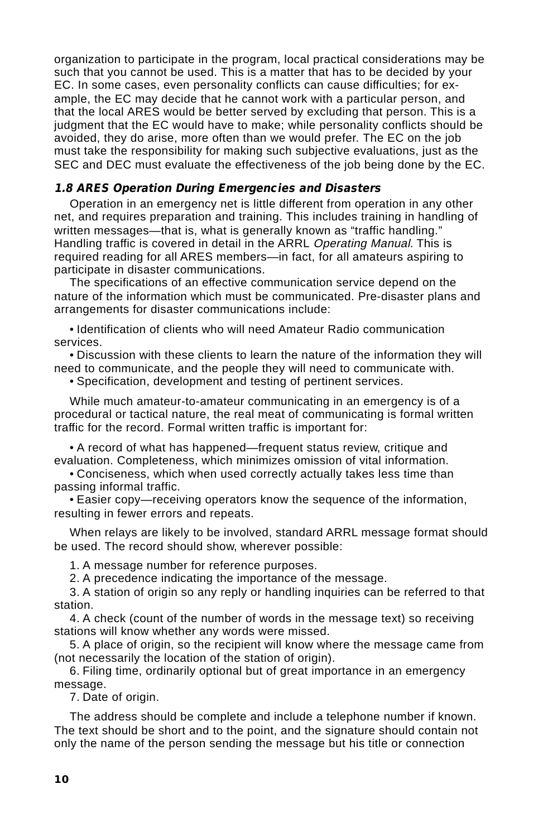organization to participate in the program, local practical considerations may be such that you cannot be used. This is a matter that has to be decided by your EC. In some cases, even personality conflicts can cause difficulties; for example, the EC may decide that he cannot work with a particular person, and that the local ARES would be better served by excluding that person. This is a judgment that the EC would have to make; while personality conflicts should be avoided, they do arise, more often than we would prefer. The EC on the job must take the responsibility for making such subjective evaluations, just as the SEC and DEC must evaluate the effectiveness of the job being done by the EC.

#### **1.8 ARES Operation During Emergencies and Disasters**

Operation in an emergency net is little different from operation in any other net, and requires preparation and training. This includes training in handling of written messages—that is, what is generally known as "traffic handling." Handling traffic is covered in detail in the ARRL Operating Manual. This is required reading for all ARES members—in fact, for all amateurs aspiring to participate in disaster communications.

The specifications of an effective communication service depend on the nature of the information which must be communicated. Pre-disaster plans and arrangements for disaster communications include:

• Identification of clients who will need Amateur Radio communication services.

• Discussion with these clients to learn the nature of the information they will need to communicate, and the people they will need to communicate with.

• Specification, development and testing of pertinent services.

While much amateur-to-amateur communicating in an emergency is of a procedural or tactical nature, the real meat of communicating is formal written traffic for the record. Formal written traffic is important for:

• A record of what has happened—frequent status review, critique and evaluation. Completeness, which minimizes omission of vital information.

• Conciseness, which when used correctly actually takes less time than passing informal traffic.

• Easier copy—receiving operators know the sequence of the information, resulting in fewer errors and repeats.

When relays are likely to be involved, standard ARRL message format should be used. The record should show, wherever possible:

1. A message number for reference purposes.

2. A precedence indicating the importance of the message.

3. A station of origin so any reply or handling inquiries can be referred to that station.

4. A check (count of the number of words in the message text) so receiving stations will know whether any words were missed.

5. A place of origin, so the recipient will know where the message came from (not necessarily the location of the station of origin).

6. Filing time, ordinarily optional but of great importance in an emergency message.

7. Date of origin.

The address should be complete and include a telephone number if known. The text should be short and to the point, and the signature should contain not only the name of the person sending the message but his title or connection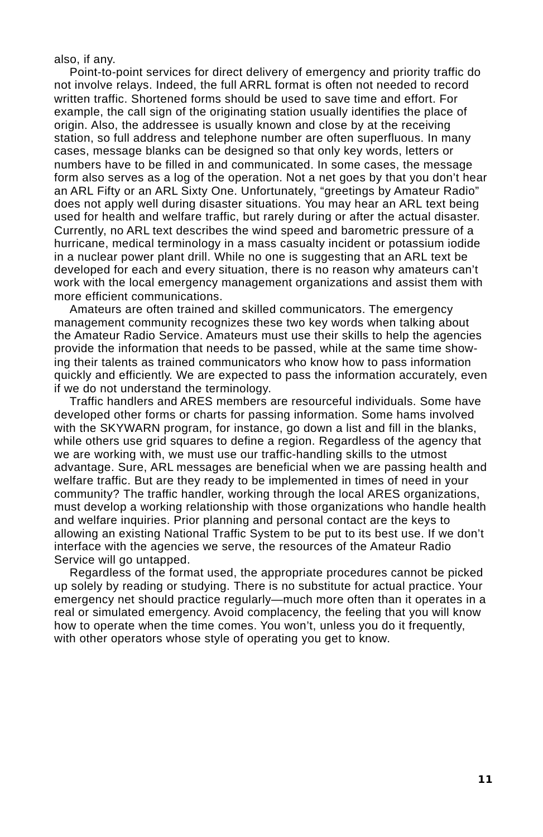also, if any.

Point-to-point services for direct delivery of emergency and priority traffic do not involve relays. Indeed, the full ARRL format is often not needed to record written traffic. Shortened forms should be used to save time and effort. For example, the call sign of the originating station usually identifies the place of origin. Also, the addressee is usually known and close by at the receiving station, so full address and telephone number are often superfluous. In many cases, message blanks can be designed so that only key words, letters or numbers have to be filled in and communicated. In some cases, the message form also serves as a log of the operation. Not a net goes by that you don't hear an ARL Fifty or an ARL Sixty One. Unfortunately, "greetings by Amateur Radio" does not apply well during disaster situations. You may hear an ARL text being used for health and welfare traffic, but rarely during or after the actual disaster. Currently, no ARL text describes the wind speed and barometric pressure of a hurricane, medical terminology in a mass casualty incident or potassium iodide in a nuclear power plant drill. While no one is suggesting that an ARL text be developed for each and every situation, there is no reason why amateurs can't work with the local emergency management organizations and assist them with more efficient communications.

Amateurs are often trained and skilled communicators. The emergency management community recognizes these two key words when talking about the Amateur Radio Service. Amateurs must use their skills to help the agencies provide the information that needs to be passed, while at the same time showing their talents as trained communicators who know how to pass information quickly and efficiently. We are expected to pass the information accurately, even if we do not understand the terminology.

Traffic handlers and ARES members are resourceful individuals. Some have developed other forms or charts for passing information. Some hams involved with the SKYWARN program, for instance, go down a list and fill in the blanks, while others use grid squares to define a region. Regardless of the agency that we are working with, we must use our traffic-handling skills to the utmost advantage. Sure, ARL messages are beneficial when we are passing health and welfare traffic. But are they ready to be implemented in times of need in your community? The traffic handler, working through the local ARES organizations, must develop a working relationship with those organizations who handle health and welfare inquiries. Prior planning and personal contact are the keys to allowing an existing National Traffic System to be put to its best use. If we don't interface with the agencies we serve, the resources of the Amateur Radio Service will go untapped.

Regardless of the format used, the appropriate procedures cannot be picked up solely by reading or studying. There is no substitute for actual practice. Your emergency net should practice regularly—much more often than it operates in a real or simulated emergency. Avoid complacency, the feeling that you will know how to operate when the time comes. You won't, unless you do it frequently, with other operators whose style of operating you get to know.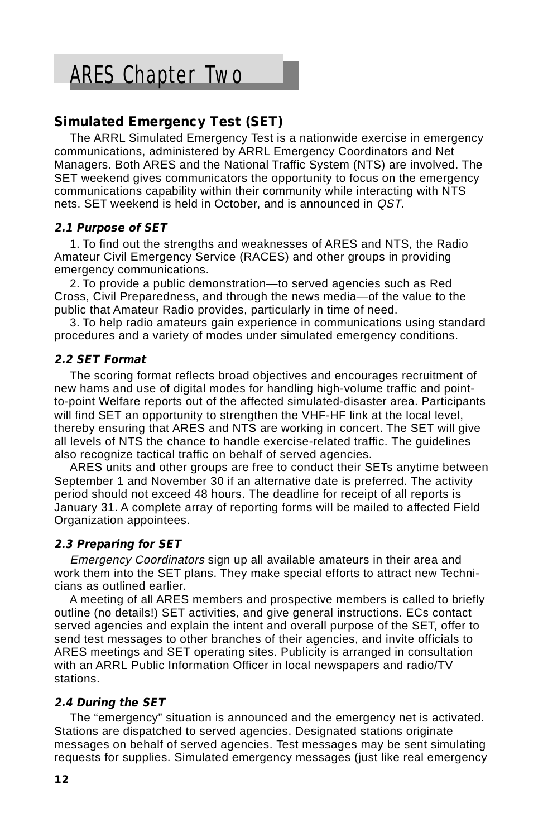## ARES Chapter Two

## **Simulated Emergency Test (SET)**

The ARRL Simulated Emergency Test is a nationwide exercise in emergency communications, administered by ARRL Emergency Coordinators and Net Managers. Both ARES and the National Traffic System (NTS) are involved. The SET weekend gives communicators the opportunity to focus on the emergency communications capability within their community while interacting with NTS nets. SET weekend is held in October, and is announced in QST.

#### **2.1 Purpose of SET**

1. To find out the strengths and weaknesses of ARES and NTS, the Radio Amateur Civil Emergency Service (RACES) and other groups in providing emergency communications.

2. To provide a public demonstration—to served agencies such as Red Cross, Civil Preparedness, and through the news media—of the value to the public that Amateur Radio provides, particularly in time of need.

3. To help radio amateurs gain experience in communications using standard procedures and a variety of modes under simulated emergency conditions.

#### **2.2 SET Format**

The scoring format reflects broad objectives and encourages recruitment of new hams and use of digital modes for handling high-volume traffic and pointto-point Welfare reports out of the affected simulated-disaster area. Participants will find SET an opportunity to strengthen the VHF-HF link at the local level, thereby ensuring that ARES and NTS are working in concert. The SET will give all levels of NTS the chance to handle exercise-related traffic. The guidelines also recognize tactical traffic on behalf of served agencies.

ARES units and other groups are free to conduct their SETs anytime between September 1 and November 30 if an alternative date is preferred. The activity period should not exceed 48 hours. The deadline for receipt of all reports is January 31. A complete array of reporting forms will be mailed to affected Field Organization appointees.

### **2.3 Preparing for SET**

Emergency Coordinators sign up all available amateurs in their area and work them into the SET plans. They make special efforts to attract new Technicians as outlined earlier.

A meeting of all ARES members and prospective members is called to briefly outline (no details!) SET activities, and give general instructions. ECs contact served agencies and explain the intent and overall purpose of the SET, offer to send test messages to other branches of their agencies, and invite officials to ARES meetings and SET operating sites. Publicity is arranged in consultation with an ARRL Public Information Officer in local newspapers and radio/TV stations.

### **2.4 During the SET**

The "emergency" situation is announced and the emergency net is activated. Stations are dispatched to served agencies. Designated stations originate messages on behalf of served agencies. Test messages may be sent simulating requests for supplies. Simulated emergency messages (just like real emergency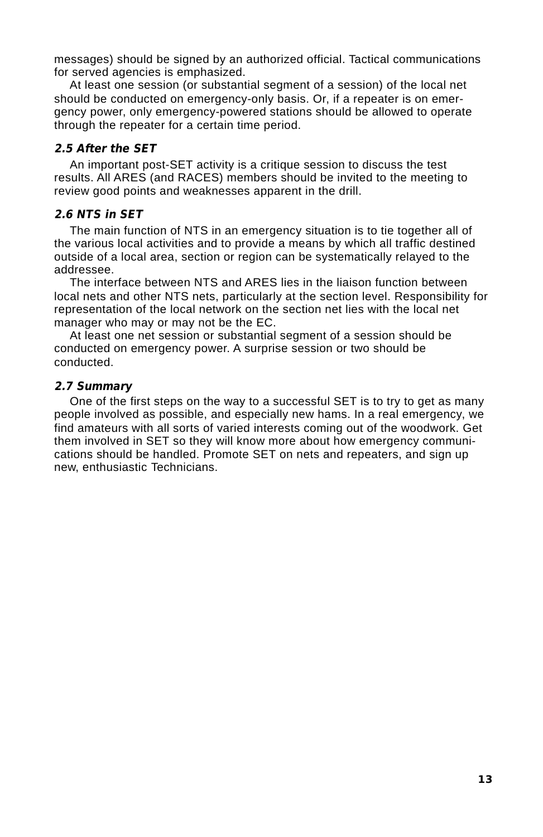messages) should be signed by an authorized official. Tactical communications for served agencies is emphasized.

At least one session (or substantial segment of a session) of the local net should be conducted on emergency-only basis. Or, if a repeater is on emergency power, only emergency-powered stations should be allowed to operate through the repeater for a certain time period.

#### **2.5 After the SET**

An important post-SET activity is a critique session to discuss the test results. All ARES (and RACES) members should be invited to the meeting to review good points and weaknesses apparent in the drill.

#### **2.6 NTS in SET**

The main function of NTS in an emergency situation is to tie together all of the various local activities and to provide a means by which all traffic destined outside of a local area, section or region can be systematically relayed to the addressee.

The interface between NTS and ARES lies in the liaison function between local nets and other NTS nets, particularly at the section level. Responsibility for representation of the local network on the section net lies with the local net manager who may or may not be the EC.

At least one net session or substantial segment of a session should be conducted on emergency power. A surprise session or two should be conducted.

#### **2.7 Summary**

One of the first steps on the way to a successful SET is to try to get as many people involved as possible, and especially new hams. In a real emergency, we find amateurs with all sorts of varied interests coming out of the woodwork. Get them involved in SET so they will know more about how emergency communications should be handled. Promote SET on nets and repeaters, and sign up new, enthusiastic Technicians.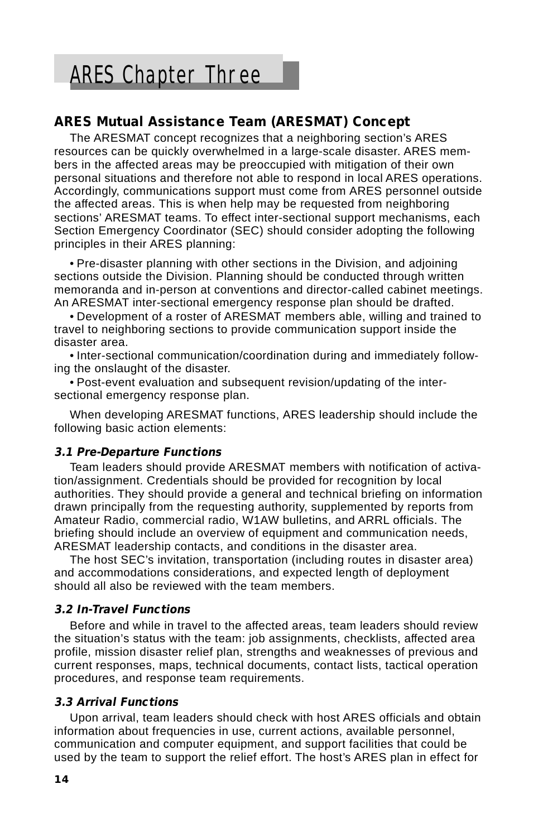## ARES Chapter Three

## **ARES Mutual Assistance Team (ARESMAT) Concept**

The ARESMAT concept recognizes that a neighboring section's ARES resources can be quickly overwhelmed in a large-scale disaster. ARES members in the affected areas may be preoccupied with mitigation of their own personal situations and therefore not able to respond in local ARES operations. Accordingly, communications support must come from ARES personnel outside the affected areas. This is when help may be requested from neighboring sections' ARESMAT teams. To effect inter-sectional support mechanisms, each Section Emergency Coordinator (SEC) should consider adopting the following principles in their ARES planning:

• Pre-disaster planning with other sections in the Division, and adjoining sections outside the Division. Planning should be conducted through written memoranda and in-person at conventions and director-called cabinet meetings. An ARESMAT inter-sectional emergency response plan should be drafted.

• Development of a roster of ARESMAT members able, willing and trained to travel to neighboring sections to provide communication support inside the disaster area.

• Inter-sectional communication/coordination during and immediately following the onslaught of the disaster.

• Post-event evaluation and subsequent revision/updating of the intersectional emergency response plan.

When developing ARESMAT functions, ARES leadership should include the following basic action elements:

#### **3.1 Pre-Departure Functions**

Team leaders should provide ARESMAT members with notification of activation/assignment. Credentials should be provided for recognition by local authorities. They should provide a general and technical briefing on information drawn principally from the requesting authority, supplemented by reports from Amateur Radio, commercial radio, W1AW bulletins, and ARRL officials. The briefing should include an overview of equipment and communication needs, ARESMAT leadership contacts, and conditions in the disaster area.

The host SEC's invitation, transportation (including routes in disaster area) and accommodations considerations, and expected length of deployment should all also be reviewed with the team members.

#### **3.2 In-Travel Functions**

Before and while in travel to the affected areas, team leaders should review the situation's status with the team: job assignments, checklists, affected area profile, mission disaster relief plan, strengths and weaknesses of previous and current responses, maps, technical documents, contact lists, tactical operation procedures, and response team requirements.

#### **3.3 Arrival Functions**

Upon arrival, team leaders should check with host ARES officials and obtain information about frequencies in use, current actions, available personnel, communication and computer equipment, and support facilities that could be used by the team to support the relief effort. The host's ARES plan in effect for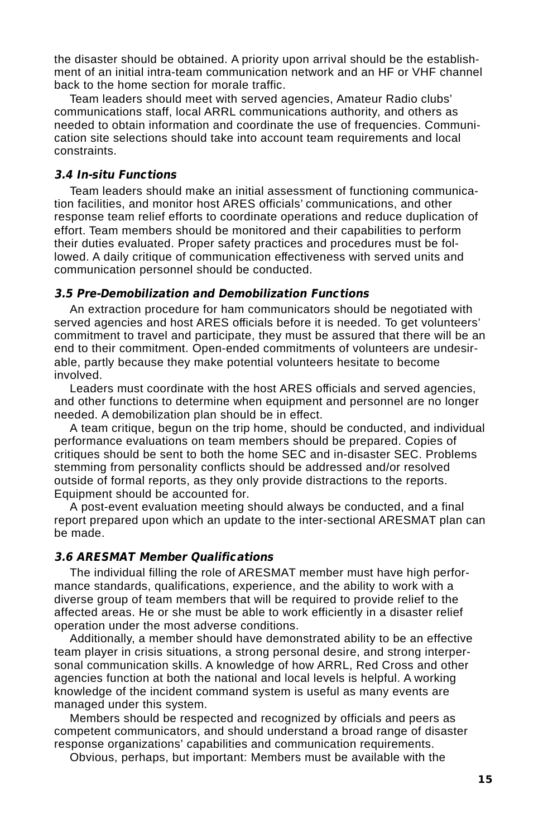the disaster should be obtained. A priority upon arrival should be the establishment of an initial intra-team communication network and an HF or VHF channel back to the home section for morale traffic.

Team leaders should meet with served agencies, Amateur Radio clubs' communications staff, local ARRL communications authority, and others as needed to obtain information and coordinate the use of frequencies. Communication site selections should take into account team requirements and local constraints.

#### **3.4 In-situ Functions**

Team leaders should make an initial assessment of functioning communication facilities, and monitor host ARES officials' communications, and other response team relief efforts to coordinate operations and reduce duplication of effort. Team members should be monitored and their capabilities to perform their duties evaluated. Proper safety practices and procedures must be followed. A daily critique of communication effectiveness with served units and communication personnel should be conducted.

#### **3.5 Pre-Demobilization and Demobilization Functions**

An extraction procedure for ham communicators should be negotiated with served agencies and host ARES officials before it is needed. To get volunteers' commitment to travel and participate, they must be assured that there will be an end to their commitment. Open-ended commitments of volunteers are undesirable, partly because they make potential volunteers hesitate to become involved.

Leaders must coordinate with the host ARES officials and served agencies, and other functions to determine when equipment and personnel are no longer needed. A demobilization plan should be in effect.

A team critique, begun on the trip home, should be conducted, and individual performance evaluations on team members should be prepared. Copies of critiques should be sent to both the home SEC and in-disaster SEC. Problems stemming from personality conflicts should be addressed and/or resolved outside of formal reports, as they only provide distractions to the reports. Equipment should be accounted for.

A post-event evaluation meeting should always be conducted, and a final report prepared upon which an update to the inter-sectional ARESMAT plan can be made.

### **3.6 ARESMAT Member Qualifications**

The individual filling the role of ARESMAT member must have high performance standards, qualifications, experience, and the ability to work with a diverse group of team members that will be required to provide relief to the affected areas. He or she must be able to work efficiently in a disaster relief operation under the most adverse conditions.

Additionally, a member should have demonstrated ability to be an effective team player in crisis situations, a strong personal desire, and strong interpersonal communication skills. A knowledge of how ARRL, Red Cross and other agencies function at both the national and local levels is helpful. A working knowledge of the incident command system is useful as many events are managed under this system.

Members should be respected and recognized by officials and peers as competent communicators, and should understand a broad range of disaster response organizations' capabilities and communication requirements.

Obvious, perhaps, but important: Members must be available with the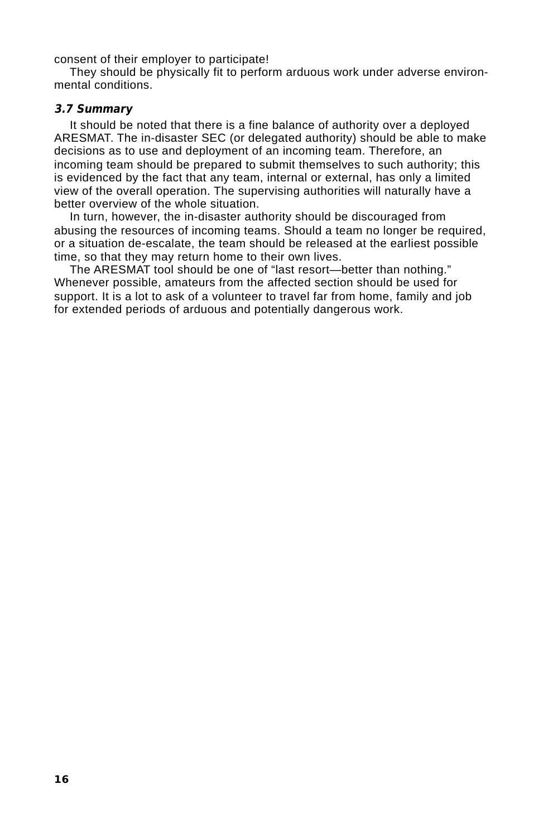consent of their employer to participate!

They should be physically fit to perform arduous work under adverse environmental conditions.

#### **3.7 Summary**

It should be noted that there is a fine balance of authority over a deployed ARESMAT. The in-disaster SEC (or delegated authority) should be able to make decisions as to use and deployment of an incoming team. Therefore, an incoming team should be prepared to submit themselves to such authority; this is evidenced by the fact that any team, internal or external, has only a limited view of the overall operation. The supervising authorities will naturally have a better overview of the whole situation.

In turn, however, the in-disaster authority should be discouraged from abusing the resources of incoming teams. Should a team no longer be required, or a situation de-escalate, the team should be released at the earliest possible time, so that they may return home to their own lives.

The ARESMAT tool should be one of "last resort—better than nothing." Whenever possible, amateurs from the affected section should be used for support. It is a lot to ask of a volunteer to travel far from home, family and job for extended periods of arduous and potentially dangerous work.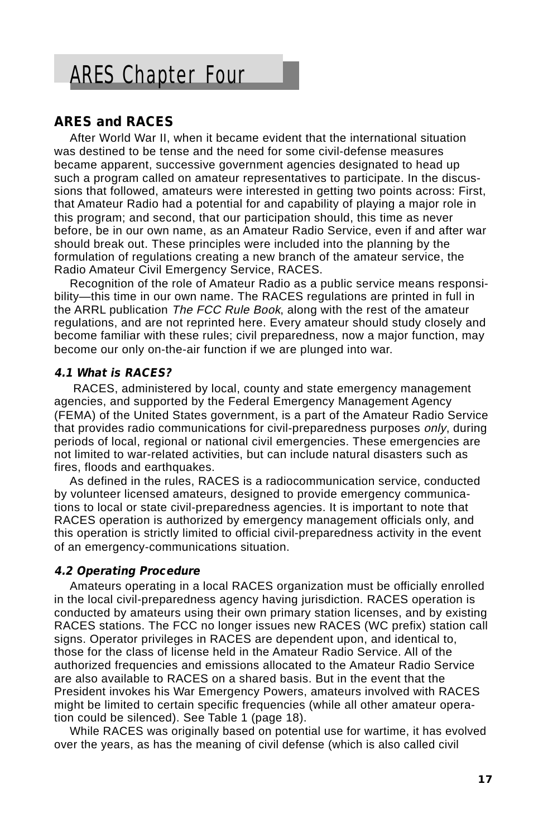## ARES Chapter Four

### **ARES and RACES**

After World War II, when it became evident that the international situation was destined to be tense and the need for some civil-defense measures became apparent, successive government agencies designated to head up such a program called on amateur representatives to participate. In the discussions that followed, amateurs were interested in getting two points across: First, that Amateur Radio had a potential for and capability of playing a major role in this program; and second, that our participation should, this time as never before, be in our own name, as an Amateur Radio Service, even if and after war should break out. These principles were included into the planning by the formulation of regulations creating a new branch of the amateur service, the Radio Amateur Civil Emergency Service, RACES.

Recognition of the role of Amateur Radio as a public service means responsibility—this time in our own name. The RACES regulations are printed in full in the ARRL publication The FCC Rule Book, along with the rest of the amateur regulations, and are not reprinted here. Every amateur should study closely and become familiar with these rules; civil preparedness, now a major function, may become our only on-the-air function if we are plunged into war.

#### **4.1 What is RACES?**

 RACES, administered by local, county and state emergency management agencies, and supported by the Federal Emergency Management Agency (FEMA) of the United States government, is a part of the Amateur Radio Service that provides radio communications for civil-preparedness purposes only, during periods of local, regional or national civil emergencies. These emergencies are not limited to war-related activities, but can include natural disasters such as fires, floods and earthquakes.

As defined in the rules, RACES is a radiocommunication service, conducted by volunteer licensed amateurs, designed to provide emergency communications to local or state civil-preparedness agencies. It is important to note that RACES operation is authorized by emergency management officials only, and this operation is strictly limited to official civil-preparedness activity in the event of an emergency-communications situation.

#### **4.2 Operating Procedure**

Amateurs operating in a local RACES organization must be officially enrolled in the local civil-preparedness agency having jurisdiction. RACES operation is conducted by amateurs using their own primary station licenses, and by existing RACES stations. The FCC no longer issues new RACES (WC prefix) station call signs. Operator privileges in RACES are dependent upon, and identical to, those for the class of license held in the Amateur Radio Service. All of the authorized frequencies and emissions allocated to the Amateur Radio Service are also available to RACES on a shared basis. But in the event that the President invokes his War Emergency Powers, amateurs involved with RACES might be limited to certain specific frequencies (while all other amateur operation could be silenced). See Table 1 (page 18).

While RACES was originally based on potential use for wartime, it has evolved over the years, as has the meaning of civil defense (which is also called civil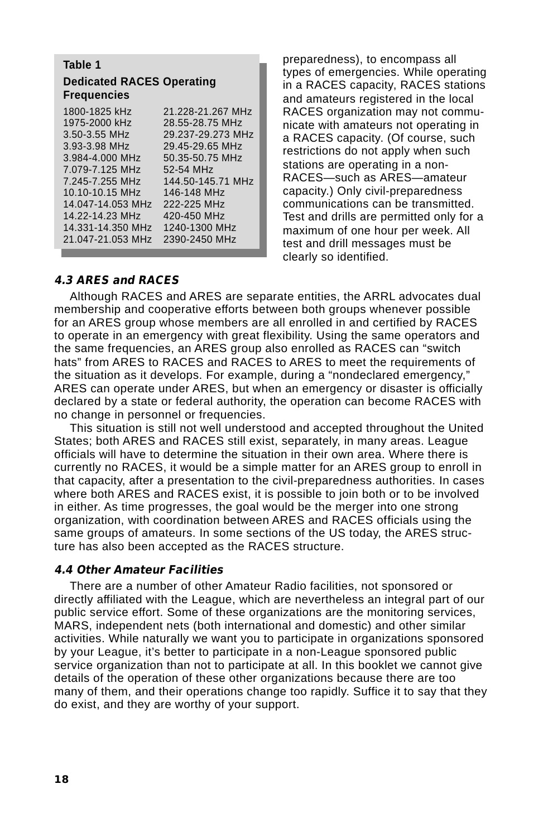#### 21.228-21.267 MHz 28.55-28.75 MHz 29.237-29.273 MHz 29.45-29.65 MHz 50.35-50.75 MHz 52-54 MHz 144.50-145.71 MHz 146-148 MHz 222-225 MHz 14.047-14.053 MHz 420-450 MHz 1240-1300 MHz 2390-2450 MHz **Table 1 Dedicated RACES Operating Frequencies** 1800-1825 kHz 1975-2000 kHz 3.50-3.55 MHz 3.93-3.98 MHz 3.984-4.000 MHz 7.079-7.125 MHz 7.245-7.255 MHz 10.10-10.15 MHz 14.22-14.23 MHz 14.331-14.350 MHz 21.047-21.053 MHz

preparedness), to encompass all types of emergencies. While operating in a RACES capacity, RACES stations and amateurs registered in the local RACES organization may not communicate with amateurs not operating in a RACES capacity. (Of course, such restrictions do not apply when such stations are operating in a non-RACES—such as ARES—amateur capacity.) Only civil-preparedness communications can be transmitted. Test and drills are permitted only for a maximum of one hour per week. All test and drill messages must be clearly so identified.

## **4.3 ARES and RACES**

Although RACES and ARES are separate entities, the ARRL advocates dual membership and cooperative efforts between both groups whenever possible for an ARES group whose members are all enrolled in and certified by RACES to operate in an emergency with great flexibility. Using the same operators and the same frequencies, an ARES group also enrolled as RACES can "switch hats" from ARES to RACES and RACES to ARES to meet the requirements of the situation as it develops. For example, during a "nondeclared emergency," ARES can operate under ARES, but when an emergency or disaster is officially declared by a state or federal authority, the operation can become RACES with no change in personnel or frequencies.

This situation is still not well understood and accepted throughout the United States; both ARES and RACES still exist, separately, in many areas. League officials will have to determine the situation in their own area. Where there is currently no RACES, it would be a simple matter for an ARES group to enroll in that capacity, after a presentation to the civil-preparedness authorities. In cases where both ARES and RACES exist, it is possible to join both or to be involved in either. As time progresses, the goal would be the merger into one strong organization, with coordination between ARES and RACES officials using the same groups of amateurs. In some sections of the US today, the ARES structure has also been accepted as the RACES structure.

### **4.4 Other Amateur Facilities**

There are a number of other Amateur Radio facilities, not sponsored or directly affiliated with the League, which are nevertheless an integral part of our public service effort. Some of these organizations are the monitoring services, MARS, independent nets (both international and domestic) and other similar activities. While naturally we want you to participate in organizations sponsored by your League, it's better to participate in a non-League sponsored public service organization than not to participate at all. In this booklet we cannot give details of the operation of these other organizations because there are too many of them, and their operations change too rapidly. Suffice it to say that they do exist, and they are worthy of your support.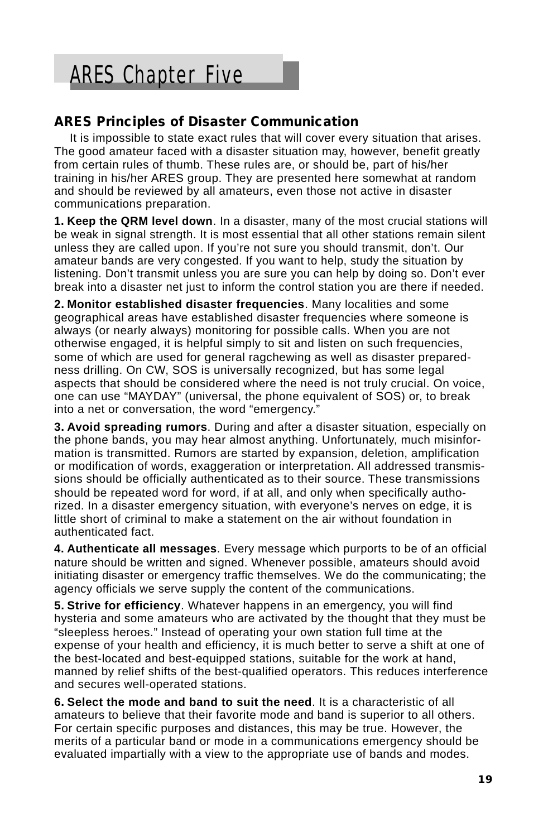## ARES Chapter Five

## **ARES Principles of Disaster Communication**

It is impossible to state exact rules that will cover every situation that arises. The good amateur faced with a disaster situation may, however, benefit greatly from certain rules of thumb. These rules are, or should be, part of his/her training in his/her ARES group. They are presented here somewhat at random and should be reviewed by all amateurs, even those not active in disaster communications preparation.

**1. Keep the QRM level down**. In a disaster, many of the most crucial stations will be weak in signal strength. It is most essential that all other stations remain silent unless they are called upon. If you're not sure you should transmit, don't. Our amateur bands are very congested. If you want to help, study the situation by listening. Don't transmit unless you are sure you can help by doing so. Don't ever break into a disaster net just to inform the control station you are there if needed.

**2. Monitor established disaster frequencies**. Many localities and some geographical areas have established disaster frequencies where someone is always (or nearly always) monitoring for possible calls. When you are not otherwise engaged, it is helpful simply to sit and listen on such frequencies, some of which are used for general ragchewing as well as disaster preparedness drilling. On CW, SOS is universally recognized, but has some legal aspects that should be considered where the need is not truly crucial. On voice, one can use "MAYDAY" (universal, the phone equivalent of SOS) or, to break into a net or conversation, the word "emergency."

**3. Avoid spreading rumors**. During and after a disaster situation, especially on the phone bands, you may hear almost anything. Unfortunately, much misinformation is transmitted. Rumors are started by expansion, deletion, amplification or modification of words, exaggeration or interpretation. All addressed transmissions should be officially authenticated as to their source. These transmissions should be repeated word for word, if at all, and only when specifically authorized. In a disaster emergency situation, with everyone's nerves on edge, it is little short of criminal to make a statement on the air without foundation in authenticated fact.

**4. Authenticate all messages**. Every message which purports to be of an official nature should be written and signed. Whenever possible, amateurs should avoid initiating disaster or emergency traffic themselves. We do the communicating; the agency officials we serve supply the content of the communications.

**5. Strive for efficiency**. Whatever happens in an emergency, you will find hysteria and some amateurs who are activated by the thought that they must be "sleepless heroes." Instead of operating your own station full time at the expense of your health and efficiency, it is much better to serve a shift at one of the best-located and best-equipped stations, suitable for the work at hand, manned by relief shifts of the best-qualified operators. This reduces interference and secures well-operated stations.

**6. Select the mode and band to suit the need**. It is a characteristic of all amateurs to believe that their favorite mode and band is superior to all others. For certain specific purposes and distances, this may be true. However, the merits of a particular band or mode in a communications emergency should be evaluated impartially with a view to the appropriate use of bands and modes.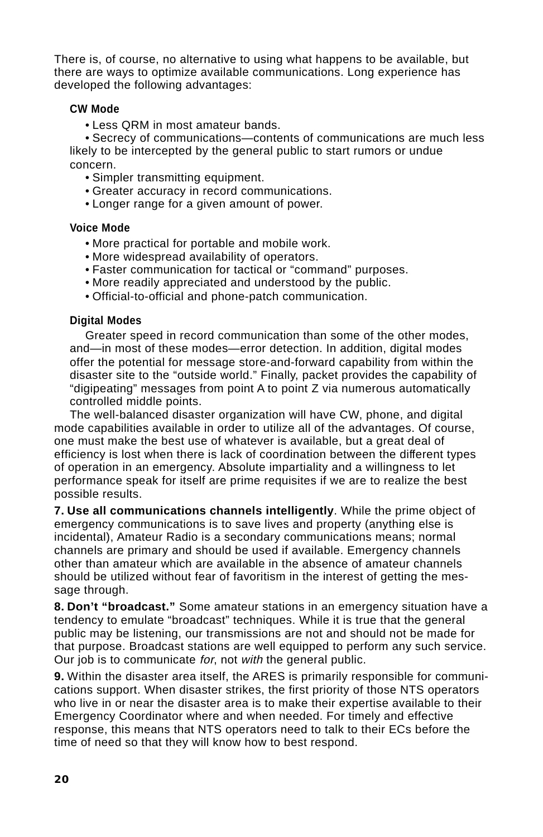There is, of course, no alternative to using what happens to be available, but there are ways to optimize available communications. Long experience has developed the following advantages:

#### **CW Mode**

• Less QRM in most amateur bands.

• Secrecy of communications—contents of communications are much less likely to be intercepted by the general public to start rumors or undue concern.

- Simpler transmitting equipment.
- Greater accuracy in record communications.
- Longer range for a given amount of power.

#### **Voice Mode**

- More practical for portable and mobile work.
- More widespread availability of operators.
- Faster communication for tactical or "command" purposes.
- More readily appreciated and understood by the public.
- Official-to-official and phone-patch communication.

#### **Digital Modes**

Greater speed in record communication than some of the other modes, and—in most of these modes—error detection. In addition, digital modes offer the potential for message store-and-forward capability from within the disaster site to the "outside world." Finally, packet provides the capability of "digipeating" messages from point A to point Z via numerous automatically controlled middle points.

The well-balanced disaster organization will have CW, phone, and digital mode capabilities available in order to utilize all of the advantages. Of course, one must make the best use of whatever is available, but a great deal of efficiency is lost when there is lack of coordination between the different types of operation in an emergency. Absolute impartiality and a willingness to let performance speak for itself are prime requisites if we are to realize the best possible results.

**7. Use all communications channels intelligently**. While the prime object of emergency communications is to save lives and property (anything else is incidental), Amateur Radio is a secondary communications means; normal channels are primary and should be used if available. Emergency channels other than amateur which are available in the absence of amateur channels should be utilized without fear of favoritism in the interest of getting the message through.

**8. Don't "broadcast."** Some amateur stations in an emergency situation have a tendency to emulate "broadcast" techniques. While it is true that the general public may be listening, our transmissions are not and should not be made for that purpose. Broadcast stations are well equipped to perform any such service. Our job is to communicate for, not with the general public.

**9.** Within the disaster area itself, the ARES is primarily responsible for communications support. When disaster strikes, the first priority of those NTS operators who live in or near the disaster area is to make their expertise available to their Emergency Coordinator where and when needed. For timely and effective response, this means that NTS operators need to talk to their ECs before the time of need so that they will know how to best respond.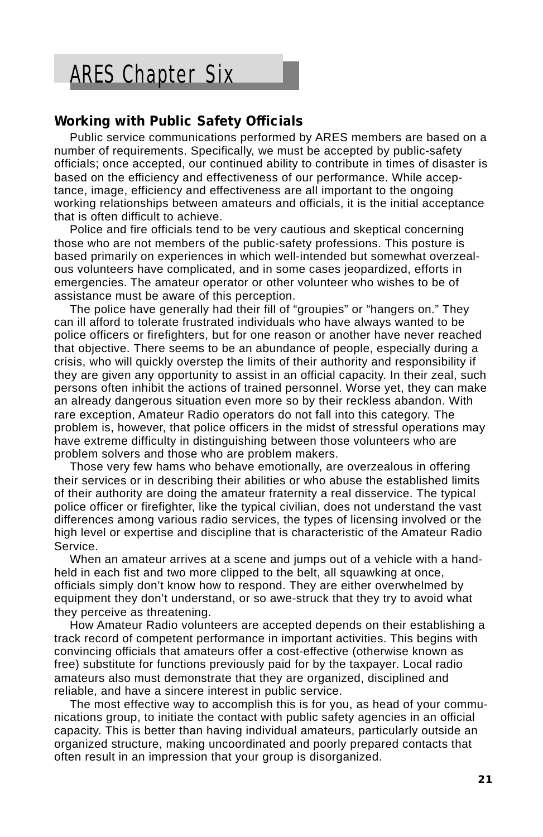## ARES Chapter Six

### **Working with Public Safety Officials**

Public service communications performed by ARES members are based on a number of requirements. Specifically, we must be accepted by public-safety officials; once accepted, our continued ability to contribute in times of disaster is based on the efficiency and effectiveness of our performance. While acceptance, image, efficiency and effectiveness are all important to the ongoing working relationships between amateurs and officials, it is the initial acceptance that is often difficult to achieve.

Police and fire officials tend to be very cautious and skeptical concerning those who are not members of the public-safety professions. This posture is based primarily on experiences in which well-intended but somewhat overzealous volunteers have complicated, and in some cases jeopardized, efforts in emergencies. The amateur operator or other volunteer who wishes to be of assistance must be aware of this perception.

The police have generally had their fill of "groupies" or "hangers on." They can ill afford to tolerate frustrated individuals who have always wanted to be police officers or firefighters, but for one reason or another have never reached that objective. There seems to be an abundance of people, especially during a crisis, who will quickly overstep the limits of their authority and responsibility if they are given any opportunity to assist in an official capacity. In their zeal, such persons often inhibit the actions of trained personnel. Worse yet, they can make an already dangerous situation even more so by their reckless abandon. With rare exception, Amateur Radio operators do not fall into this category. The problem is, however, that police officers in the midst of stressful operations may have extreme difficulty in distinguishing between those volunteers who are problem solvers and those who are problem makers.

Those very few hams who behave emotionally, are overzealous in offering their services or in describing their abilities or who abuse the established limits of their authority are doing the amateur fraternity a real disservice. The typical police officer or firefighter, like the typical civilian, does not understand the vast differences among various radio services, the types of licensing involved or the high level or expertise and discipline that is characteristic of the Amateur Radio Service.

When an amateur arrives at a scene and jumps out of a vehicle with a handheld in each fist and two more clipped to the belt, all squawking at once, officials simply don't know how to respond. They are either overwhelmed by equipment they don't understand, or so awe-struck that they try to avoid what they perceive as threatening.

How Amateur Radio volunteers are accepted depends on their establishing a track record of competent performance in important activities. This begins with convincing officials that amateurs offer a cost-effective (otherwise known as free) substitute for functions previously paid for by the taxpayer. Local radio amateurs also must demonstrate that they are organized, disciplined and reliable, and have a sincere interest in public service.

The most effective way to accomplish this is for you, as head of your communications group, to initiate the contact with public safety agencies in an official capacity. This is better than having individual amateurs, particularly outside an organized structure, making uncoordinated and poorly prepared contacts that often result in an impression that your group is disorganized.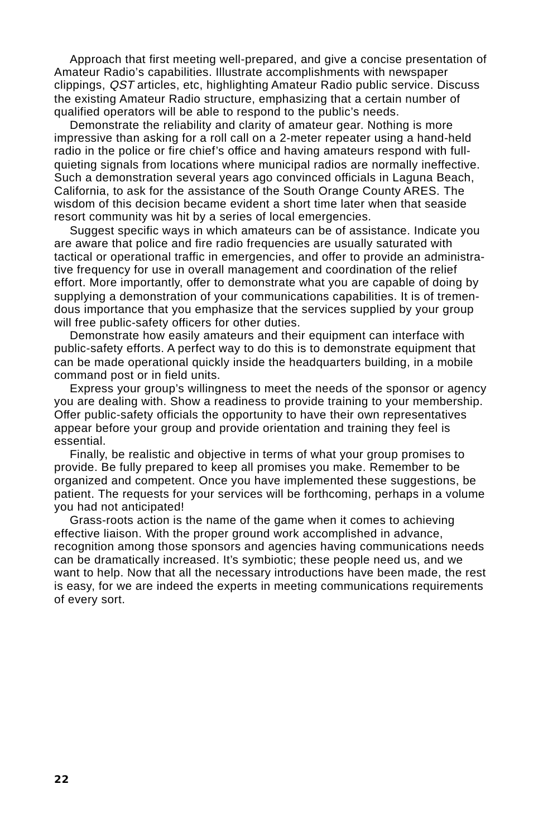Approach that first meeting well-prepared, and give a concise presentation of Amateur Radio's capabilities. Illustrate accomplishments with newspaper clippings, QST articles, etc, highlighting Amateur Radio public service. Discuss the existing Amateur Radio structure, emphasizing that a certain number of qualified operators will be able to respond to the public's needs.

Demonstrate the reliability and clarity of amateur gear. Nothing is more impressive than asking for a roll call on a 2-meter repeater using a hand-held radio in the police or fire chief's office and having amateurs respond with fullquieting signals from locations where municipal radios are normally ineffective. Such a demonstration several years ago convinced officials in Laguna Beach, California, to ask for the assistance of the South Orange County ARES. The wisdom of this decision became evident a short time later when that seaside resort community was hit by a series of local emergencies.

Suggest specific ways in which amateurs can be of assistance. Indicate you are aware that police and fire radio frequencies are usually saturated with tactical or operational traffic in emergencies, and offer to provide an administrative frequency for use in overall management and coordination of the relief effort. More importantly, offer to demonstrate what you are capable of doing by supplying a demonstration of your communications capabilities. It is of tremendous importance that you emphasize that the services supplied by your group will free public-safety officers for other duties.

Demonstrate how easily amateurs and their equipment can interface with public-safety efforts. A perfect way to do this is to demonstrate equipment that can be made operational quickly inside the headquarters building, in a mobile command post or in field units.

Express your group's willingness to meet the needs of the sponsor or agency you are dealing with. Show a readiness to provide training to your membership. Offer public-safety officials the opportunity to have their own representatives appear before your group and provide orientation and training they feel is essential.

Finally, be realistic and objective in terms of what your group promises to provide. Be fully prepared to keep all promises you make. Remember to be organized and competent. Once you have implemented these suggestions, be patient. The requests for your services will be forthcoming, perhaps in a volume you had not anticipated!

Grass-roots action is the name of the game when it comes to achieving effective liaison. With the proper ground work accomplished in advance, recognition among those sponsors and agencies having communications needs can be dramatically increased. It's symbiotic; these people need us, and we want to help. Now that all the necessary introductions have been made, the rest is easy, for we are indeed the experts in meeting communications requirements of every sort.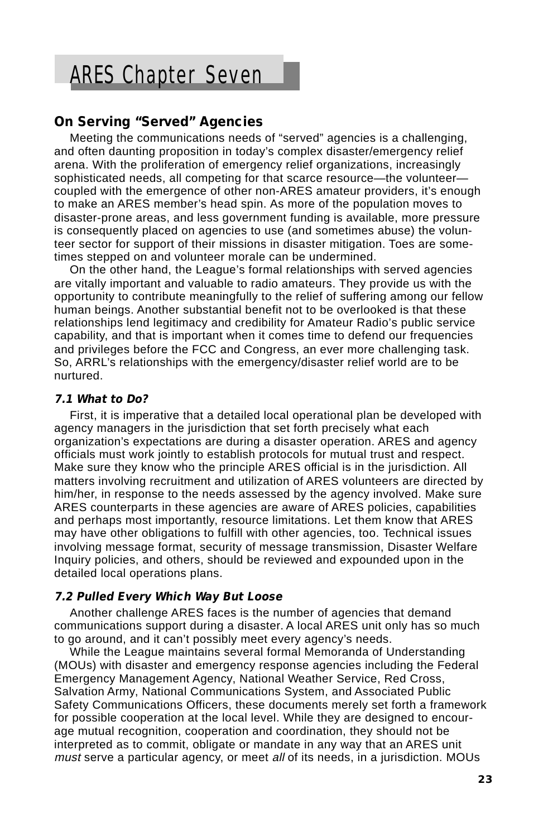## ARES Chapter Seven

### **On Serving "Served" Agencies**

Meeting the communications needs of "served" agencies is a challenging, and often daunting proposition in today's complex disaster/emergency relief arena. With the proliferation of emergency relief organizations, increasingly sophisticated needs, all competing for that scarce resource—the volunteer coupled with the emergence of other non-ARES amateur providers, it's enough to make an ARES member's head spin. As more of the population moves to disaster-prone areas, and less government funding is available, more pressure is consequently placed on agencies to use (and sometimes abuse) the volunteer sector for support of their missions in disaster mitigation. Toes are sometimes stepped on and volunteer morale can be undermined.

On the other hand, the League's formal relationships with served agencies are vitally important and valuable to radio amateurs. They provide us with the opportunity to contribute meaningfully to the relief of suffering among our fellow human beings. Another substantial benefit not to be overlooked is that these relationships lend legitimacy and credibility for Amateur Radio's public service capability, and that is important when it comes time to defend our frequencies and privileges before the FCC and Congress, an ever more challenging task. So, ARRL's relationships with the emergency/disaster relief world are to be nurtured.

#### **7.1 What to Do?**

First, it is imperative that a detailed local operational plan be developed with agency managers in the jurisdiction that set forth precisely what each organization's expectations are during a disaster operation. ARES and agency officials must work jointly to establish protocols for mutual trust and respect. Make sure they know who the principle ARES official is in the jurisdiction. All matters involving recruitment and utilization of ARES volunteers are directed by him/her, in response to the needs assessed by the agency involved. Make sure ARES counterparts in these agencies are aware of ARES policies, capabilities and perhaps most importantly, resource limitations. Let them know that ARES may have other obligations to fulfill with other agencies, too. Technical issues involving message format, security of message transmission, Disaster Welfare Inquiry policies, and others, should be reviewed and expounded upon in the detailed local operations plans.

#### **7.2 Pulled Every Which Way But Loose**

Another challenge ARES faces is the number of agencies that demand communications support during a disaster. A local ARES unit only has so much to go around, and it can't possibly meet every agency's needs.

While the League maintains several formal Memoranda of Understanding (MOUs) with disaster and emergency response agencies including the Federal Emergency Management Agency, National Weather Service, Red Cross, Salvation Army, National Communications System, and Associated Public Safety Communications Officers, these documents merely set forth a framework for possible cooperation at the local level. While they are designed to encourage mutual recognition, cooperation and coordination, they should not be interpreted as to commit, obligate or mandate in any way that an ARES unit must serve a particular agency, or meet all of its needs, in a jurisdiction. MOUs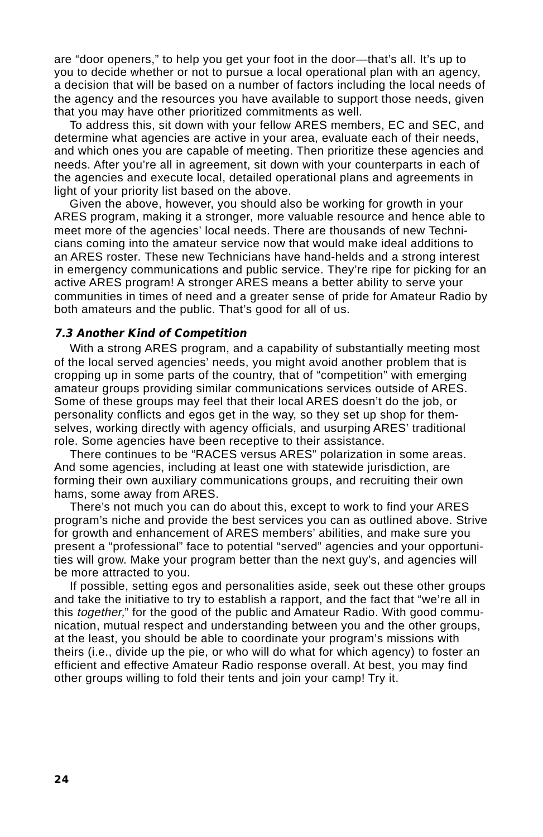are "door openers," to help you get your foot in the door—that's all. It's up to you to decide whether or not to pursue a local operational plan with an agency, a decision that will be based on a number of factors including the local needs of the agency and the resources you have available to support those needs, given that you may have other prioritized commitments as well.

To address this, sit down with your fellow ARES members, EC and SEC, and determine what agencies are active in your area, evaluate each of their needs, and which ones you are capable of meeting. Then prioritize these agencies and needs. After you're all in agreement, sit down with your counterparts in each of the agencies and execute local, detailed operational plans and agreements in light of your priority list based on the above.

Given the above, however, you should also be working for growth in your ARES program, making it a stronger, more valuable resource and hence able to meet more of the agencies' local needs. There are thousands of new Technicians coming into the amateur service now that would make ideal additions to an ARES roster. These new Technicians have hand-helds and a strong interest in emergency communications and public service. They're ripe for picking for an active ARES program! A stronger ARES means a better ability to serve your communities in times of need and a greater sense of pride for Amateur Radio by both amateurs and the public. That's good for all of us.

#### **7.3 Another Kind of Competition**

With a strong ARES program, and a capability of substantially meeting most of the local served agencies' needs, you might avoid another problem that is cropping up in some parts of the country, that of "competition" with emerging amateur groups providing similar communications services outside of ARES. Some of these groups may feel that their local ARES doesn't do the job, or personality conflicts and egos get in the way, so they set up shop for themselves, working directly with agency officials, and usurping ARES' traditional role. Some agencies have been receptive to their assistance.

There continues to be "RACES versus ARES" polarization in some areas. And some agencies, including at least one with statewide jurisdiction, are forming their own auxiliary communications groups, and recruiting their own hams, some away from ARES.

There's not much you can do about this, except to work to find your ARES program's niche and provide the best services you can as outlined above. Strive for growth and enhancement of ARES members' abilities, and make sure you present a "professional" face to potential "served" agencies and your opportunities will grow. Make your program better than the next guy's, and agencies will be more attracted to you.

If possible, setting egos and personalities aside, seek out these other groups and take the initiative to try to establish a rapport, and the fact that "we're all in this *together*," for the good of the public and Amateur Radio. With good communication, mutual respect and understanding between you and the other groups, at the least, you should be able to coordinate your program's missions with theirs (i.e., divide up the pie, or who will do what for which agency) to foster an efficient and effective Amateur Radio response overall. At best, you may find other groups willing to fold their tents and join your camp! Try it.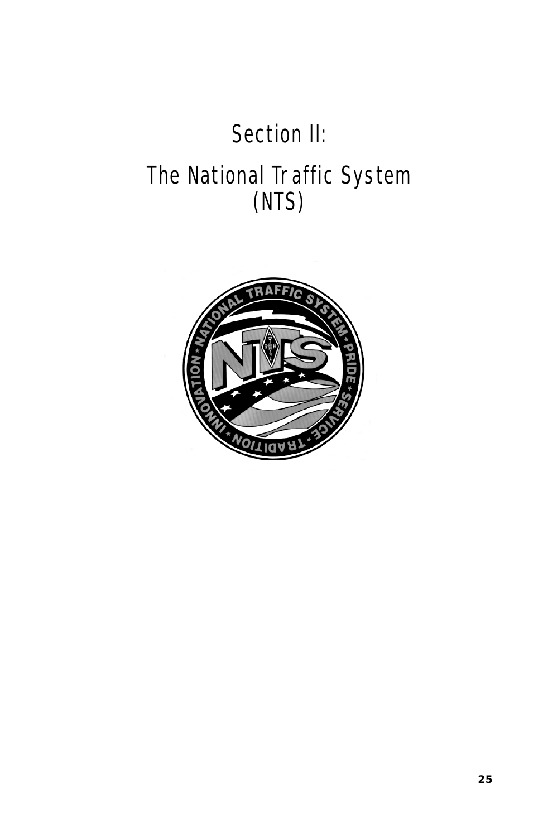# Section II:

## The National Traffic System (NTS)

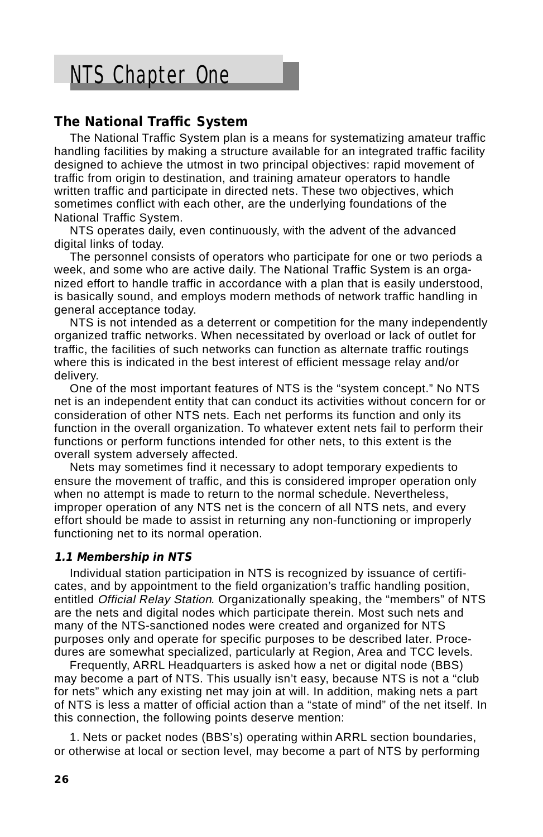## NTS Chapter One

### **The National Traffic System**

The National Traffic System plan is a means for systematizing amateur traffic handling facilities by making a structure available for an integrated traffic facility designed to achieve the utmost in two principal objectives: rapid movement of traffic from origin to destination, and training amateur operators to handle written traffic and participate in directed nets. These two objectives, which sometimes conflict with each other, are the underlying foundations of the National Traffic System.

NTS operates daily, even continuously, with the advent of the advanced digital links of today.

The personnel consists of operators who participate for one or two periods a week, and some who are active daily. The National Traffic System is an organized effort to handle traffic in accordance with a plan that is easily understood, is basically sound, and employs modern methods of network traffic handling in general acceptance today.

NTS is not intended as a deterrent or competition for the many independently organized traffic networks. When necessitated by overload or lack of outlet for traffic, the facilities of such networks can function as alternate traffic routings where this is indicated in the best interest of efficient message relay and/or delivery.

One of the most important features of NTS is the "system concept." No NTS net is an independent entity that can conduct its activities without concern for or consideration of other NTS nets. Each net performs its function and only its function in the overall organization. To whatever extent nets fail to perform their functions or perform functions intended for other nets, to this extent is the overall system adversely affected.

Nets may sometimes find it necessary to adopt temporary expedients to ensure the movement of traffic, and this is considered improper operation only when no attempt is made to return to the normal schedule. Nevertheless, improper operation of any NTS net is the concern of all NTS nets, and every effort should be made to assist in returning any non-functioning or improperly functioning net to its normal operation.

#### **1.1 Membership in NTS**

Individual station participation in NTS is recognized by issuance of certificates, and by appointment to the field organization's traffic handling position, entitled Official Relay Station. Organizationally speaking, the "members" of NTS are the nets and digital nodes which participate therein. Most such nets and many of the NTS-sanctioned nodes were created and organized for NTS purposes only and operate for specific purposes to be described later. Procedures are somewhat specialized, particularly at Region, Area and TCC levels.

Frequently, ARRL Headquarters is asked how a net or digital node (BBS) may become a part of NTS. This usually isn't easy, because NTS is not a "club for nets" which any existing net may join at will. In addition, making nets a part of NTS is less a matter of official action than a "state of mind" of the net itself. In this connection, the following points deserve mention:

1. Nets or packet nodes (BBS's) operating within ARRL section boundaries, or otherwise at local or section level, may become a part of NTS by performing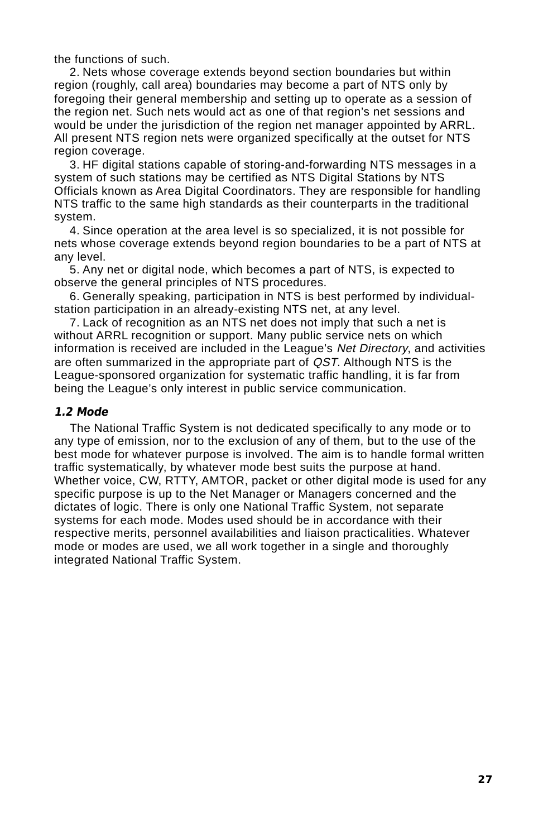the functions of such.

2. Nets whose coverage extends beyond section boundaries but within region (roughly, call area) boundaries may become a part of NTS only by foregoing their general membership and setting up to operate as a session of the region net. Such nets would act as one of that region's net sessions and would be under the jurisdiction of the region net manager appointed by ARRL. All present NTS region nets were organized specifically at the outset for NTS region coverage.

3. HF digital stations capable of storing-and-forwarding NTS messages in a system of such stations may be certified as NTS Digital Stations by NTS Officials known as Area Digital Coordinators. They are responsible for handling NTS traffic to the same high standards as their counterparts in the traditional system.

4. Since operation at the area level is so specialized, it is not possible for nets whose coverage extends beyond region boundaries to be a part of NTS at any level.

5. Any net or digital node, which becomes a part of NTS, is expected to observe the general principles of NTS procedures.

6. Generally speaking, participation in NTS is best performed by individualstation participation in an already-existing NTS net, at any level.

7. Lack of recognition as an NTS net does not imply that such a net is without ARRL recognition or support. Many public service nets on which information is received are included in the League's Net Directory, and activities are often summarized in the appropriate part of QST. Although NTS is the League-sponsored organization for systematic traffic handling, it is far from being the League's only interest in public service communication.

#### **1.2 Mode**

The National Traffic System is not dedicated specifically to any mode or to any type of emission, nor to the exclusion of any of them, but to the use of the best mode for whatever purpose is involved. The aim is to handle formal written traffic systematically, by whatever mode best suits the purpose at hand. Whether voice, CW, RTTY, AMTOR, packet or other digital mode is used for any specific purpose is up to the Net Manager or Managers concerned and the dictates of logic. There is only one National Traffic System, not separate systems for each mode. Modes used should be in accordance with their respective merits, personnel availabilities and liaison practicalities. Whatever mode or modes are used, we all work together in a single and thoroughly integrated National Traffic System.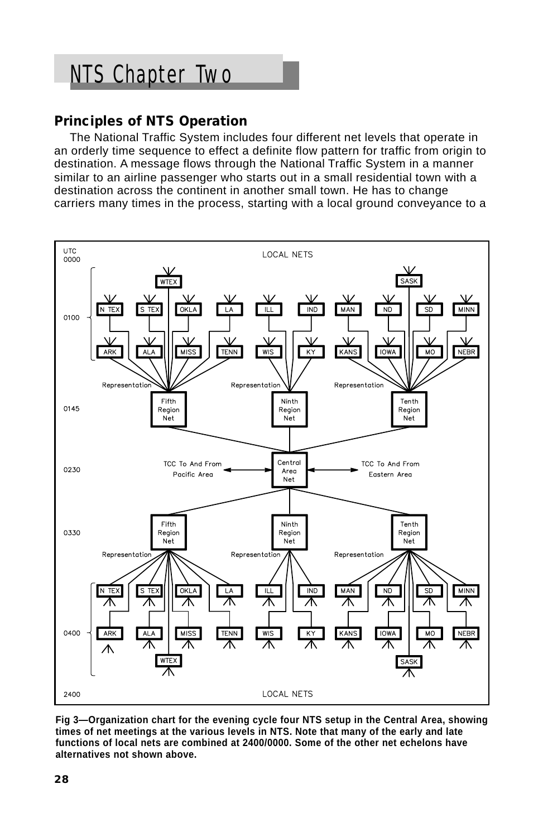## NTS Chapter Two

## **Principles of NTS Operation**

The National Traffic System includes four different net levels that operate in an orderly time sequence to effect a definite flow pattern for traffic from origin to destination. A message flows through the National Traffic System in a manner similar to an airline passenger who starts out in a small residential town with a destination across the continent in another small town. He has to change carriers many times in the process, starting with a local ground conveyance to a



**Fig 3—Organization chart for the evening cycle four NTS setup in the Central Area, showing times of net meetings at the various levels in NTS. Note that many of the early and late functions of local nets are combined at 2400/0000. Some of the other net echelons have alternatives not shown above.**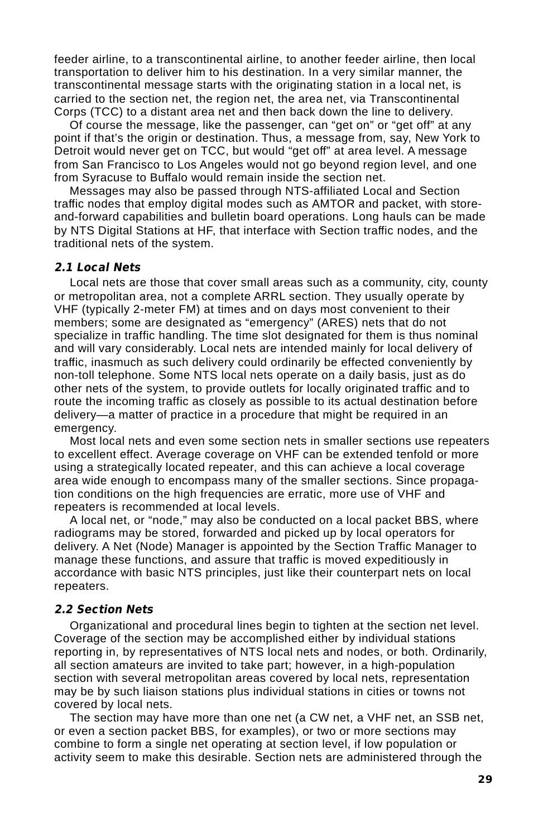feeder airline, to a transcontinental airline, to another feeder airline, then local transportation to deliver him to his destination. In a very similar manner, the transcontinental message starts with the originating station in a local net, is carried to the section net, the region net, the area net, via Transcontinental Corps (TCC) to a distant area net and then back down the line to delivery.

Of course the message, like the passenger, can "get on" or "get off" at any point if that's the origin or destination. Thus, a message from, say, New York to Detroit would never get on TCC, but would "get off" at area level. A message from San Francisco to Los Angeles would not go beyond region level, and one from Syracuse to Buffalo would remain inside the section net.

Messages may also be passed through NTS-affiliated Local and Section traffic nodes that employ digital modes such as AMTOR and packet, with storeand-forward capabilities and bulletin board operations. Long hauls can be made by NTS Digital Stations at HF, that interface with Section traffic nodes, and the traditional nets of the system.

#### **2.1 Local Nets**

Local nets are those that cover small areas such as a community, city, county or metropolitan area, not a complete ARRL section. They usually operate by VHF (typically 2-meter FM) at times and on days most convenient to their members; some are designated as "emergency" (ARES) nets that do not specialize in traffic handling. The time slot designated for them is thus nominal and will vary considerably. Local nets are intended mainly for local delivery of traffic, inasmuch as such delivery could ordinarily be effected conveniently by non-toll telephone. Some NTS local nets operate on a daily basis, just as do other nets of the system, to provide outlets for locally originated traffic and to route the incoming traffic as closely as possible to its actual destination before delivery—a matter of practice in a procedure that might be required in an emergency.

Most local nets and even some section nets in smaller sections use repeaters to excellent effect. Average coverage on VHF can be extended tenfold or more using a strategically located repeater, and this can achieve a local coverage area wide enough to encompass many of the smaller sections. Since propagation conditions on the high frequencies are erratic, more use of VHF and repeaters is recommended at local levels.

A local net, or "node," may also be conducted on a local packet BBS, where radiograms may be stored, forwarded and picked up by local operators for delivery. A Net (Node) Manager is appointed by the Section Traffic Manager to manage these functions, and assure that traffic is moved expeditiously in accordance with basic NTS principles, just like their counterpart nets on local repeaters.

#### **2.2 Section Nets**

Organizational and procedural lines begin to tighten at the section net level. Coverage of the section may be accomplished either by individual stations reporting in, by representatives of NTS local nets and nodes, or both. Ordinarily, all section amateurs are invited to take part; however, in a high-population section with several metropolitan areas covered by local nets, representation may be by such liaison stations plus individual stations in cities or towns not covered by local nets.

The section may have more than one net (a CW net, a VHF net, an SSB net, or even a section packet BBS, for examples), or two or more sections may combine to form a single net operating at section level, if low population or activity seem to make this desirable. Section nets are administered through the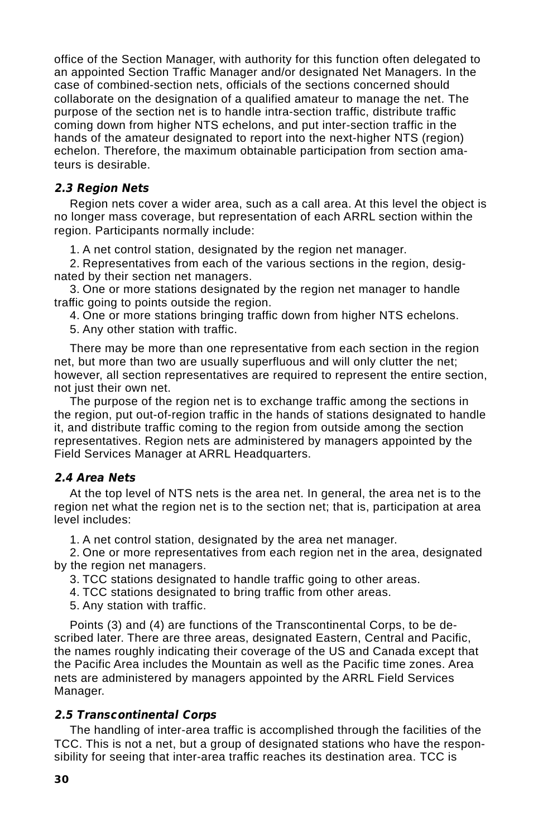office of the Section Manager, with authority for this function often delegated to an appointed Section Traffic Manager and/or designated Net Managers. In the case of combined-section nets, officials of the sections concerned should collaborate on the designation of a qualified amateur to manage the net. The purpose of the section net is to handle intra-section traffic, distribute traffic coming down from higher NTS echelons, and put inter-section traffic in the hands of the amateur designated to report into the next-higher NTS (region) echelon. Therefore, the maximum obtainable participation from section amateurs is desirable.

#### **2.3 Region Nets**

Region nets cover a wider area, such as a call area. At this level the object is no longer mass coverage, but representation of each ARRL section within the region. Participants normally include:

1. A net control station, designated by the region net manager.

2. Representatives from each of the various sections in the region, designated by their section net managers.

3. One or more stations designated by the region net manager to handle traffic going to points outside the region.

4. One or more stations bringing traffic down from higher NTS echelons. 5. Any other station with traffic.

There may be more than one representative from each section in the region net, but more than two are usually superfluous and will only clutter the net; however, all section representatives are required to represent the entire section, not just their own net.

The purpose of the region net is to exchange traffic among the sections in the region, put out-of-region traffic in the hands of stations designated to handle it, and distribute traffic coming to the region from outside among the section representatives. Region nets are administered by managers appointed by the Field Services Manager at ARRL Headquarters.

#### **2.4 Area Nets**

At the top level of NTS nets is the area net. In general, the area net is to the region net what the region net is to the section net; that is, participation at area level includes:

1. A net control station, designated by the area net manager.

2. One or more representatives from each region net in the area, designated by the region net managers.

3. TCC stations designated to handle traffic going to other areas.

4. TCC stations designated to bring traffic from other areas.

5. Any station with traffic.

Points (3) and (4) are functions of the Transcontinental Corps, to be described later. There are three areas, designated Eastern, Central and Pacific, the names roughly indicating their coverage of the US and Canada except that the Pacific Area includes the Mountain as well as the Pacific time zones. Area nets are administered by managers appointed by the ARRL Field Services Manager.

#### **2.5 Transcontinental Corps**

The handling of inter-area traffic is accomplished through the facilities of the TCC. This is not a net, but a group of designated stations who have the responsibility for seeing that inter-area traffic reaches its destination area. TCC is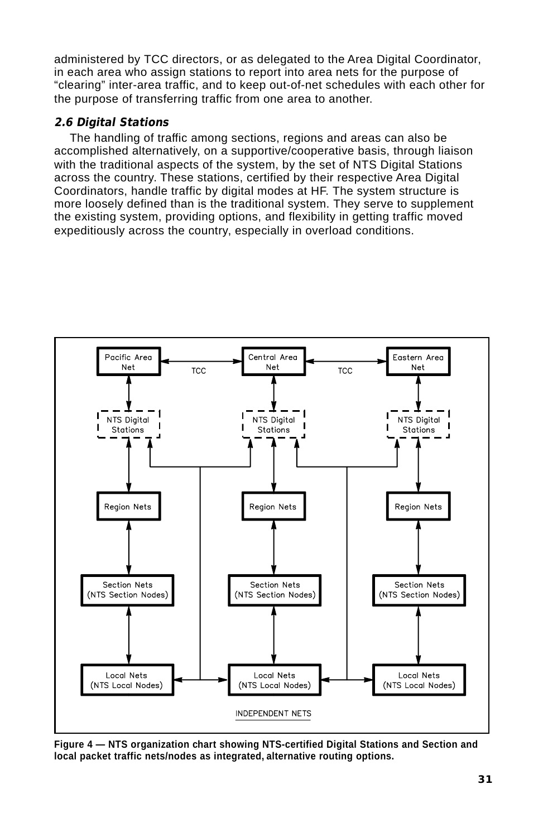administered by TCC directors, or as delegated to the Area Digital Coordinator, in each area who assign stations to report into area nets for the purpose of "clearing" inter-area traffic, and to keep out-of-net schedules with each other for the purpose of transferring traffic from one area to another.

### **2.6 Digital Stations**

The handling of traffic among sections, regions and areas can also be accomplished alternatively, on a supportive/cooperative basis, through liaison with the traditional aspects of the system, by the set of NTS Digital Stations across the country. These stations, certified by their respective Area Digital Coordinators, handle traffic by digital modes at HF. The system structure is more loosely defined than is the traditional system. They serve to supplement the existing system, providing options, and flexibility in getting traffic moved expeditiously across the country, especially in overload conditions.



**Figure 4 — NTS organization chart showing NTS-certified Digital Stations and Section and local packet traffic nets/nodes as integrated, alternative routing options.**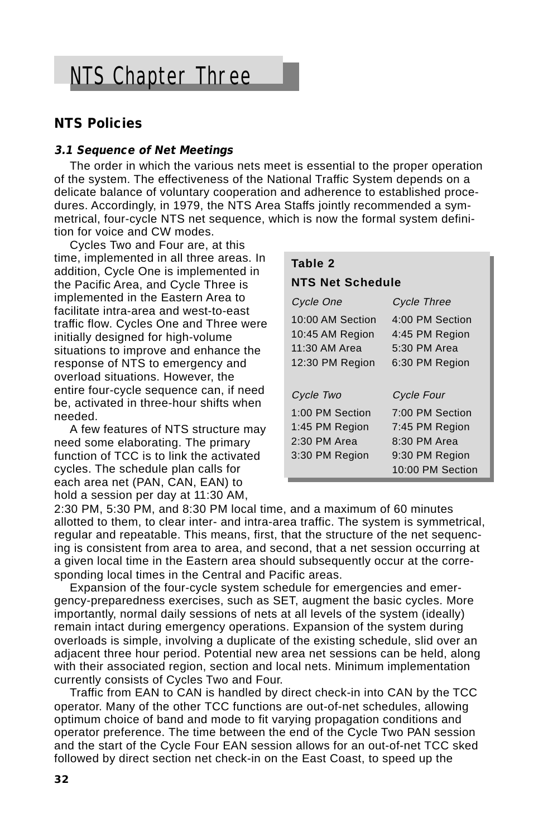## NTS Chapter Three

## **NTS Policies**

#### **3.1 Sequence of Net Meetings**

The order in which the various nets meet is essential to the proper operation of the system. The effectiveness of the National Traffic System depends on a delicate balance of voluntary cooperation and adherence to established procedures. Accordingly, in 1979, the NTS Area Staffs jointly recommended a symmetrical, four-cycle NTS net sequence, which is now the formal system definition for voice and CW modes.

Cycles Two and Four are, at this time, implemented in all three areas. In addition, Cycle One is implemented in the Pacific Area, and Cycle Three is implemented in the Eastern Area to facilitate intra-area and west-to-east traffic flow. Cycles One and Three were initially designed for high-volume situations to improve and enhance the response of NTS to emergency and overload situations. However, the entire four-cycle sequence can, if need be, activated in three-hour shifts when needed.

A few features of NTS structure may need some elaborating. The primary function of TCC is to link the activated cycles. The schedule plan calls for each area net (PAN, CAN, EAN) to hold a session per day at 11:30 AM,

| Table 2                 |                   |  |  |  |  |  |
|-------------------------|-------------------|--|--|--|--|--|
| <b>NTS Net Schedule</b> |                   |  |  |  |  |  |
| <i>Cycle One</i>        | Cycle Three       |  |  |  |  |  |
| 10:00 AM Section        | 4:00 PM Section   |  |  |  |  |  |
| 10:45 AM Region         | 4:45 PM Region    |  |  |  |  |  |
| 11:30 AM Area           | 5:30 PM Area      |  |  |  |  |  |
| 12:30 PM Region         | 6:30 PM Region    |  |  |  |  |  |
|                         |                   |  |  |  |  |  |
| Cycle Two               | <b>Cycle Four</b> |  |  |  |  |  |
| 1:00 PM Section         | 7:00 PM Section   |  |  |  |  |  |
| 1:45 PM Region          | 7:45 PM Region    |  |  |  |  |  |
| $2:30$ PM Area          | 8:30 PM Area      |  |  |  |  |  |
| 3:30 PM Region          | 9:30 PM Region    |  |  |  |  |  |
|                         | 10:00 PM Section  |  |  |  |  |  |

2:30 PM, 5:30 PM, and 8:30 PM local time, and a maximum of 60 minutes allotted to them, to clear inter- and intra-area traffic. The system is symmetrical, regular and repeatable. This means, first, that the structure of the net sequencing is consistent from area to area, and second, that a net session occurring at a given local time in the Eastern area should subsequently occur at the corresponding local times in the Central and Pacific areas.

Expansion of the four-cycle system schedule for emergencies and emergency-preparedness exercises, such as SET, augment the basic cycles. More importantly, normal daily sessions of nets at all levels of the system (ideally) remain intact during emergency operations. Expansion of the system during overloads is simple, involving a duplicate of the existing schedule, slid over an adjacent three hour period. Potential new area net sessions can be held, along with their associated region, section and local nets. Minimum implementation currently consists of Cycles Two and Four.

Traffic from EAN to CAN is handled by direct check-in into CAN by the TCC operator. Many of the other TCC functions are out-of-net schedules, allowing optimum choice of band and mode to fit varying propagation conditions and operator preference. The time between the end of the Cycle Two PAN session and the start of the Cycle Four EAN session allows for an out-of-net TCC sked followed by direct section net check-in on the East Coast, to speed up the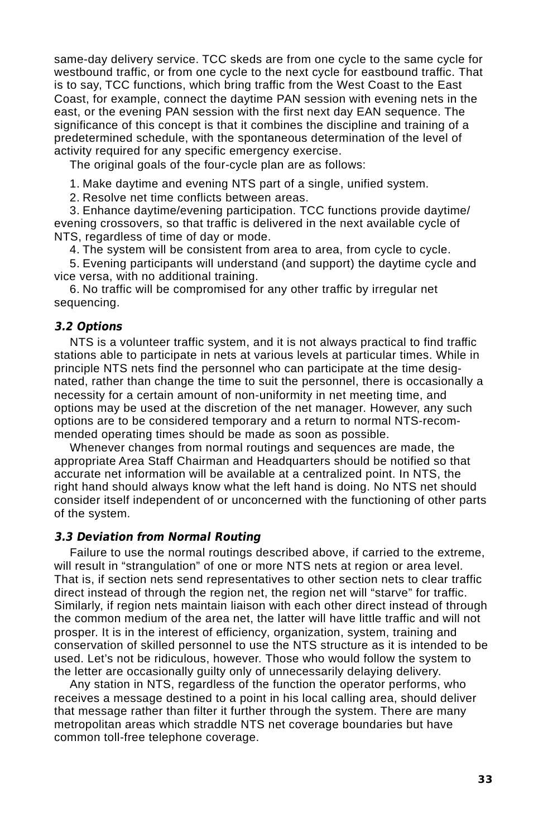same-day delivery service. TCC skeds are from one cycle to the same cycle for westbound traffic, or from one cycle to the next cycle for eastbound traffic. That is to say, TCC functions, which bring traffic from the West Coast to the East Coast, for example, connect the daytime PAN session with evening nets in the east, or the evening PAN session with the first next day EAN sequence. The significance of this concept is that it combines the discipline and training of a predetermined schedule, with the spontaneous determination of the level of activity required for any specific emergency exercise.

The original goals of the four-cycle plan are as follows:

1. Make daytime and evening NTS part of a single, unified system.

2. Resolve net time conflicts between areas.

3. Enhance daytime/evening participation. TCC functions provide daytime/ evening crossovers, so that traffic is delivered in the next available cycle of NTS, regardless of time of day or mode.

4. The system will be consistent from area to area, from cycle to cycle.

5. Evening participants will understand (and support) the daytime cycle and vice versa, with no additional training.

6. No traffic will be compromised for any other traffic by irregular net sequencing.

#### **3.2 Options**

NTS is a volunteer traffic system, and it is not always practical to find traffic stations able to participate in nets at various levels at particular times. While in principle NTS nets find the personnel who can participate at the time designated, rather than change the time to suit the personnel, there is occasionally a necessity for a certain amount of non-uniformity in net meeting time, and options may be used at the discretion of the net manager. However, any such options are to be considered temporary and a return to normal NTS-recommended operating times should be made as soon as possible.

Whenever changes from normal routings and sequences are made, the appropriate Area Staff Chairman and Headquarters should be notified so that accurate net information will be available at a centralized point. In NTS, the right hand should always know what the left hand is doing. No NTS net should consider itself independent of or unconcerned with the functioning of other parts of the system.

#### **3.3 Deviation from Normal Routing**

Failure to use the normal routings described above, if carried to the extreme, will result in "strangulation" of one or more NTS nets at region or area level. That is, if section nets send representatives to other section nets to clear traffic direct instead of through the region net, the region net will "starve" for traffic. Similarly, if region nets maintain liaison with each other direct instead of through the common medium of the area net, the latter will have little traffic and will not prosper. It is in the interest of efficiency, organization, system, training and conservation of skilled personnel to use the NTS structure as it is intended to be used. Let's not be ridiculous, however. Those who would follow the system to the letter are occasionally guilty only of unnecessarily delaying delivery.

Any station in NTS, regardless of the function the operator performs, who receives a message destined to a point in his local calling area, should deliver that message rather than filter it further through the system. There are many metropolitan areas which straddle NTS net coverage boundaries but have common toll-free telephone coverage.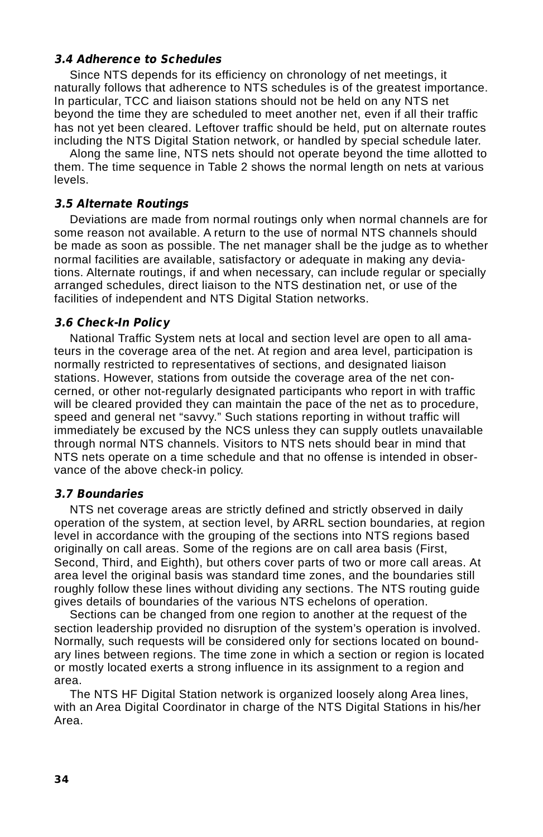#### **3.4 Adherence to Schedules**

Since NTS depends for its efficiency on chronology of net meetings, it naturally follows that adherence to NTS schedules is of the greatest importance. In particular, TCC and liaison stations should not be held on any NTS net beyond the time they are scheduled to meet another net, even if all their traffic has not yet been cleared. Leftover traffic should be held, put on alternate routes including the NTS Digital Station network, or handled by special schedule later.

Along the same line, NTS nets should not operate beyond the time allotted to them. The time sequence in Table 2 shows the normal length on nets at various levels.

#### **3.5 Alternate Routings**

Deviations are made from normal routings only when normal channels are for some reason not available. A return to the use of normal NTS channels should be made as soon as possible. The net manager shall be the judge as to whether normal facilities are available, satisfactory or adequate in making any deviations. Alternate routings, if and when necessary, can include regular or specially arranged schedules, direct liaison to the NTS destination net, or use of the facilities of independent and NTS Digital Station networks.

#### **3.6 Check-In Policy**

National Traffic System nets at local and section level are open to all amateurs in the coverage area of the net. At region and area level, participation is normally restricted to representatives of sections, and designated liaison stations. However, stations from outside the coverage area of the net concerned, or other not-regularly designated participants who report in with traffic will be cleared provided they can maintain the pace of the net as to procedure, speed and general net "savvy." Such stations reporting in without traffic will immediately be excused by the NCS unless they can supply outlets unavailable through normal NTS channels. Visitors to NTS nets should bear in mind that NTS nets operate on a time schedule and that no offense is intended in observance of the above check-in policy.

#### **3.7 Boundaries**

NTS net coverage areas are strictly defined and strictly observed in daily operation of the system, at section level, by ARRL section boundaries, at region level in accordance with the grouping of the sections into NTS regions based originally on call areas. Some of the regions are on call area basis (First, Second, Third, and Eighth), but others cover parts of two or more call areas. At area level the original basis was standard time zones, and the boundaries still roughly follow these lines without dividing any sections. The NTS routing guide gives details of boundaries of the various NTS echelons of operation.

Sections can be changed from one region to another at the request of the section leadership provided no disruption of the system's operation is involved. Normally, such requests will be considered only for sections located on boundary lines between regions. The time zone in which a section or region is located or mostly located exerts a strong influence in its assignment to a region and area.

The NTS HF Digital Station network is organized loosely along Area lines, with an Area Digital Coordinator in charge of the NTS Digital Stations in his/her Area.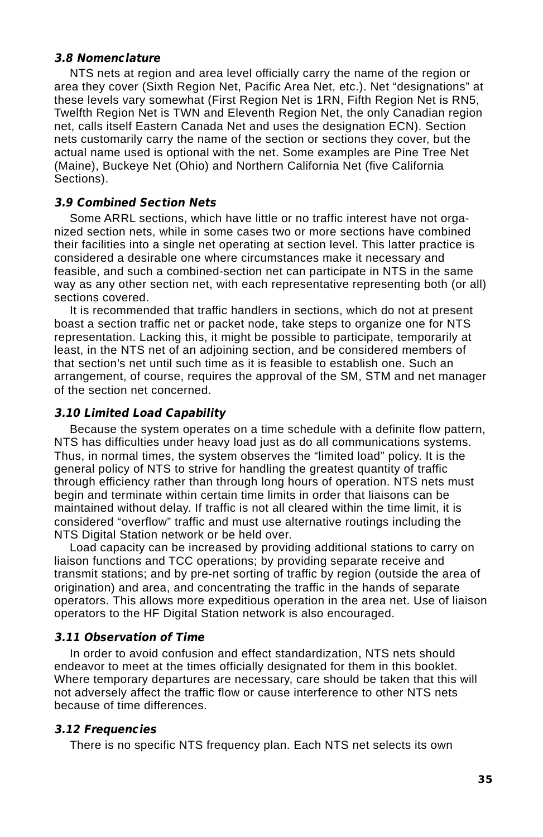#### **3.8 Nomenclature**

NTS nets at region and area level officially carry the name of the region or area they cover (Sixth Region Net, Pacific Area Net, etc.). Net "designations" at these levels vary somewhat (First Region Net is 1RN, Fifth Region Net is RN5, Twelfth Region Net is TWN and Eleventh Region Net, the only Canadian region net, calls itself Eastern Canada Net and uses the designation ECN). Section nets customarily carry the name of the section or sections they cover, but the actual name used is optional with the net. Some examples are Pine Tree Net (Maine), Buckeye Net (Ohio) and Northern California Net (five California Sections).

#### **3.9 Combined Section Nets**

Some ARRL sections, which have little or no traffic interest have not organized section nets, while in some cases two or more sections have combined their facilities into a single net operating at section level. This latter practice is considered a desirable one where circumstances make it necessary and feasible, and such a combined-section net can participate in NTS in the same way as any other section net, with each representative representing both (or all) sections covered.

It is recommended that traffic handlers in sections, which do not at present boast a section traffic net or packet node, take steps to organize one for NTS representation. Lacking this, it might be possible to participate, temporarily at least, in the NTS net of an adjoining section, and be considered members of that section's net until such time as it is feasible to establish one. Such an arrangement, of course, requires the approval of the SM, STM and net manager of the section net concerned.

#### **3.10 Limited Load Capability**

Because the system operates on a time schedule with a definite flow pattern, NTS has difficulties under heavy load just as do all communications systems. Thus, in normal times, the system observes the "limited load" policy. It is the general policy of NTS to strive for handling the greatest quantity of traffic through efficiency rather than through long hours of operation. NTS nets must begin and terminate within certain time limits in order that liaisons can be maintained without delay. If traffic is not all cleared within the time limit, it is considered "overflow" traffic and must use alternative routings including the NTS Digital Station network or be held over.

Load capacity can be increased by providing additional stations to carry on liaison functions and TCC operations; by providing separate receive and transmit stations; and by pre-net sorting of traffic by region (outside the area of origination) and area, and concentrating the traffic in the hands of separate operators. This allows more expeditious operation in the area net. Use of liaison operators to the HF Digital Station network is also encouraged.

#### **3.11 Observation of Time**

In order to avoid confusion and effect standardization, NTS nets should endeavor to meet at the times officially designated for them in this booklet. Where temporary departures are necessary, care should be taken that this will not adversely affect the traffic flow or cause interference to other NTS nets because of time differences.

#### **3.12 Frequencies**

There is no specific NTS frequency plan. Each NTS net selects its own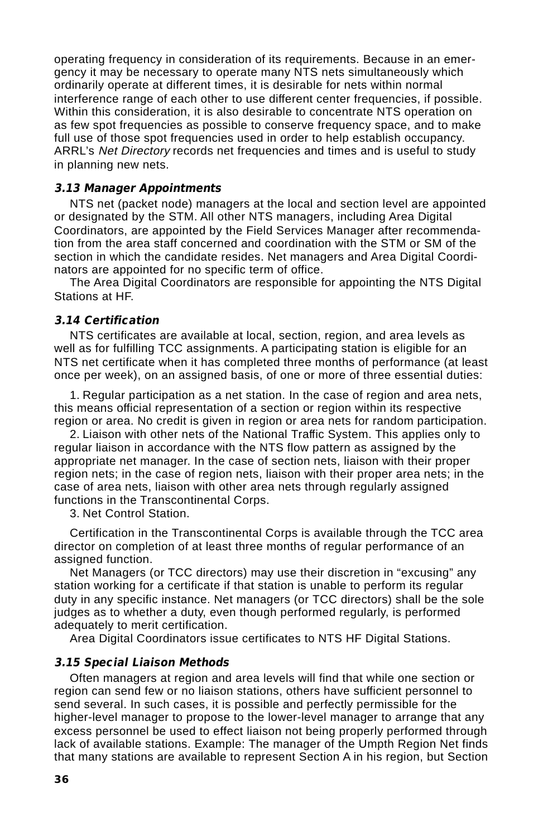operating frequency in consideration of its requirements. Because in an emergency it may be necessary to operate many NTS nets simultaneously which ordinarily operate at different times, it is desirable for nets within normal interference range of each other to use different center frequencies, if possible. Within this consideration, it is also desirable to concentrate NTS operation on as few spot frequencies as possible to conserve frequency space, and to make full use of those spot frequencies used in order to help establish occupancy. ARRL's Net Directory records net frequencies and times and is useful to study in planning new nets.

#### **3.13 Manager Appointments**

NTS net (packet node) managers at the local and section level are appointed or designated by the STM. All other NTS managers, including Area Digital Coordinators, are appointed by the Field Services Manager after recommendation from the area staff concerned and coordination with the STM or SM of the section in which the candidate resides. Net managers and Area Digital Coordinators are appointed for no specific term of office.

The Area Digital Coordinators are responsible for appointing the NTS Digital Stations at HF.

#### **3.14 Certification**

NTS certificates are available at local, section, region, and area levels as well as for fulfilling TCC assignments. A participating station is eligible for an NTS net certificate when it has completed three months of performance (at least once per week), on an assigned basis, of one or more of three essential duties:

1. Regular participation as a net station. In the case of region and area nets, this means official representation of a section or region within its respective region or area. No credit is given in region or area nets for random participation.

2. Liaison with other nets of the National Traffic System. This applies only to regular liaison in accordance with the NTS flow pattern as assigned by the appropriate net manager. In the case of section nets, liaison with their proper region nets; in the case of region nets, liaison with their proper area nets; in the case of area nets, liaison with other area nets through regularly assigned functions in the Transcontinental Corps.

3. Net Control Station.

Certification in the Transcontinental Corps is available through the TCC area director on completion of at least three months of regular performance of an assigned function.

Net Managers (or TCC directors) may use their discretion in "excusing" any station working for a certificate if that station is unable to perform its regular duty in any specific instance. Net managers (or TCC directors) shall be the sole judges as to whether a duty, even though performed regularly, is performed adequately to merit certification.

Area Digital Coordinators issue certificates to NTS HF Digital Stations.

#### **3.15 Special Liaison Methods**

Often managers at region and area levels will find that while one section or region can send few or no liaison stations, others have sufficient personnel to send several. In such cases, it is possible and perfectly permissible for the higher-level manager to propose to the lower-level manager to arrange that any excess personnel be used to effect liaison not being properly performed through lack of available stations. Example: The manager of the Umpth Region Net finds that many stations are available to represent Section A in his region, but Section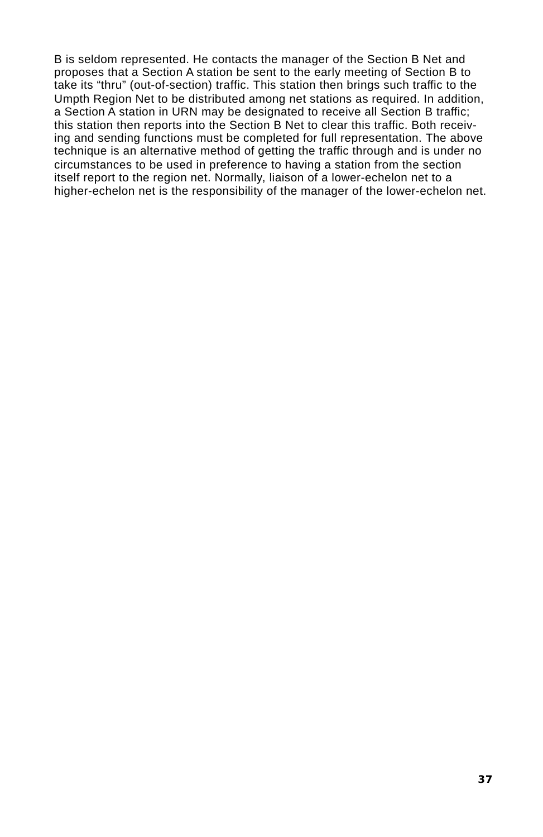B is seldom represented. He contacts the manager of the Section B Net and proposes that a Section A station be sent to the early meeting of Section B to take its "thru" (out-of-section) traffic. This station then brings such traffic to the Umpth Region Net to be distributed among net stations as required. In addition, a Section A station in URN may be designated to receive all Section B traffic; this station then reports into the Section B Net to clear this traffic. Both receiving and sending functions must be completed for full representation. The above technique is an alternative method of getting the traffic through and is under no circumstances to be used in preference to having a station from the section itself report to the region net. Normally, liaison of a lower-echelon net to a higher-echelon net is the responsibility of the manager of the lower-echelon net.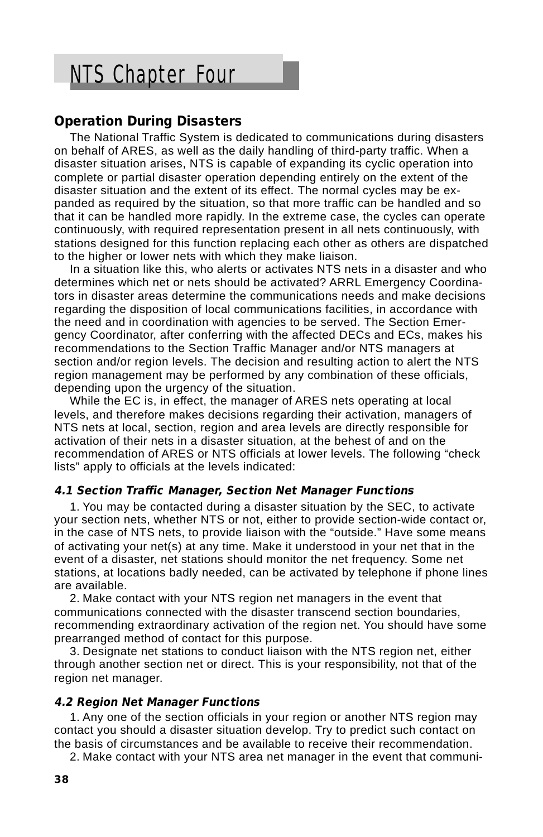## NTS Chapter Four

### **Operation During Disasters**

The National Traffic System is dedicated to communications during disasters on behalf of ARES, as well as the daily handling of third-party traffic. When a disaster situation arises, NTS is capable of expanding its cyclic operation into complete or partial disaster operation depending entirely on the extent of the disaster situation and the extent of its effect. The normal cycles may be expanded as required by the situation, so that more traffic can be handled and so that it can be handled more rapidly. In the extreme case, the cycles can operate continuously, with required representation present in all nets continuously, with stations designed for this function replacing each other as others are dispatched to the higher or lower nets with which they make liaison.

In a situation like this, who alerts or activates NTS nets in a disaster and who determines which net or nets should be activated? ARRL Emergency Coordinators in disaster areas determine the communications needs and make decisions regarding the disposition of local communications facilities, in accordance with the need and in coordination with agencies to be served. The Section Emergency Coordinator, after conferring with the affected DECs and ECs, makes his recommendations to the Section Traffic Manager and/or NTS managers at section and/or region levels. The decision and resulting action to alert the NTS region management may be performed by any combination of these officials, depending upon the urgency of the situation.

While the EC is, in effect, the manager of ARES nets operating at local levels, and therefore makes decisions regarding their activation, managers of NTS nets at local, section, region and area levels are directly responsible for activation of their nets in a disaster situation, at the behest of and on the recommendation of ARES or NTS officials at lower levels. The following "check lists" apply to officials at the levels indicated:

#### **4.1 Section Traffic Manager, Section Net Manager Functions**

1. You may be contacted during a disaster situation by the SEC, to activate your section nets, whether NTS or not, either to provide section-wide contact or, in the case of NTS nets, to provide liaison with the "outside." Have some means of activating your net(s) at any time. Make it understood in your net that in the event of a disaster, net stations should monitor the net frequency. Some net stations, at locations badly needed, can be activated by telephone if phone lines are available.

2. Make contact with your NTS region net managers in the event that communications connected with the disaster transcend section boundaries, recommending extraordinary activation of the region net. You should have some prearranged method of contact for this purpose.

3. Designate net stations to conduct liaison with the NTS region net, either through another section net or direct. This is your responsibility, not that of the region net manager.

#### **4.2 Region Net Manager Functions**

1. Any one of the section officials in your region or another NTS region may contact you should a disaster situation develop. Try to predict such contact on the basis of circumstances and be available to receive their recommendation.

2. Make contact with your NTS area net manager in the event that communi-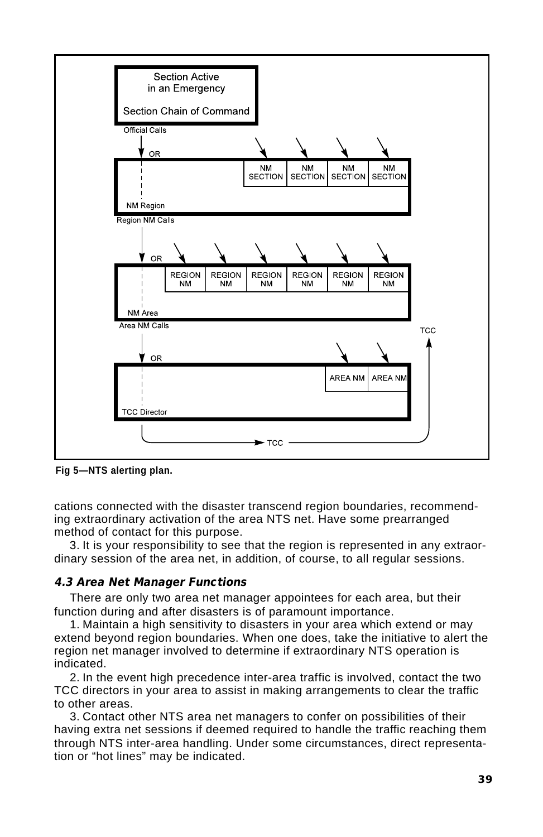

**Fig 5—NTS alerting plan.**

cations connected with the disaster transcend region boundaries, recommending extraordinary activation of the area NTS net. Have some prearranged method of contact for this purpose.

3. It is your responsibility to see that the region is represented in any extraordinary session of the area net, in addition, of course, to all regular sessions.

#### **4.3 Area Net Manager Functions**

There are only two area net manager appointees for each area, but their function during and after disasters is of paramount importance.

1. Maintain a high sensitivity to disasters in your area which extend or may extend beyond region boundaries. When one does, take the initiative to alert the region net manager involved to determine if extraordinary NTS operation is indicated.

2. In the event high precedence inter-area traffic is involved, contact the two TCC directors in your area to assist in making arrangements to clear the traffic to other areas.

3. Contact other NTS area net managers to confer on possibilities of their having extra net sessions if deemed required to handle the traffic reaching them through NTS inter-area handling. Under some circumstances, direct representation or "hot lines" may be indicated.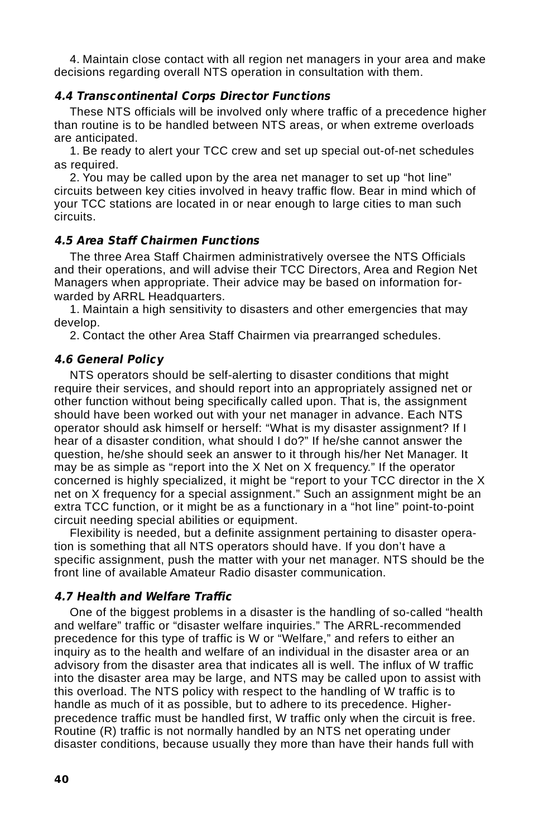4. Maintain close contact with all region net managers in your area and make decisions regarding overall NTS operation in consultation with them.

#### **4.4 Transcontinental Corps Director Functions**

These NTS officials will be involved only where traffic of a precedence higher than routine is to be handled between NTS areas, or when extreme overloads are anticipated.

1. Be ready to alert your TCC crew and set up special out-of-net schedules as required.

2. You may be called upon by the area net manager to set up "hot line" circuits between key cities involved in heavy traffic flow. Bear in mind which of your TCC stations are located in or near enough to large cities to man such circuits.

#### **4.5 Area Staff Chairmen Functions**

The three Area Staff Chairmen administratively oversee the NTS Officials and their operations, and will advise their TCC Directors, Area and Region Net Managers when appropriate. Their advice may be based on information forwarded by ARRL Headquarters.

1. Maintain a high sensitivity to disasters and other emergencies that may develop.

2. Contact the other Area Staff Chairmen via prearranged schedules.

#### **4.6 General Policy**

NTS operators should be self-alerting to disaster conditions that might require their services, and should report into an appropriately assigned net or other function without being specifically called upon. That is, the assignment should have been worked out with your net manager in advance. Each NTS operator should ask himself or herself: "What is my disaster assignment? If I hear of a disaster condition, what should I do?" If he/she cannot answer the question, he/she should seek an answer to it through his/her Net Manager. It may be as simple as "report into the X Net on X frequency." If the operator concerned is highly specialized, it might be "report to your TCC director in the X net on X frequency for a special assignment." Such an assignment might be an extra TCC function, or it might be as a functionary in a "hot line" point-to-point circuit needing special abilities or equipment.

Flexibility is needed, but a definite assignment pertaining to disaster operation is something that all NTS operators should have. If you don't have a specific assignment, push the matter with your net manager. NTS should be the front line of available Amateur Radio disaster communication.

#### **4.7 Health and Welfare Traffic**

One of the biggest problems in a disaster is the handling of so-called "health and welfare" traffic or "disaster welfare inquiries." The ARRL-recommended precedence for this type of traffic is W or "Welfare," and refers to either an inquiry as to the health and welfare of an individual in the disaster area or an advisory from the disaster area that indicates all is well. The influx of W traffic into the disaster area may be large, and NTS may be called upon to assist with this overload. The NTS policy with respect to the handling of W traffic is to handle as much of it as possible, but to adhere to its precedence. Higherprecedence traffic must be handled first, W traffic only when the circuit is free. Routine (R) traffic is not normally handled by an NTS net operating under disaster conditions, because usually they more than have their hands full with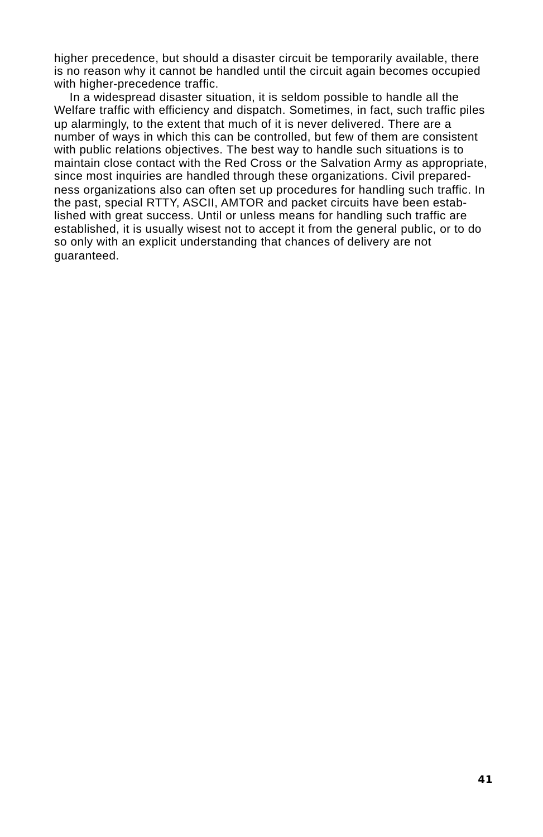higher precedence, but should a disaster circuit be temporarily available, there is no reason why it cannot be handled until the circuit again becomes occupied with higher-precedence traffic.

In a widespread disaster situation, it is seldom possible to handle all the Welfare traffic with efficiency and dispatch. Sometimes, in fact, such traffic piles up alarmingly, to the extent that much of it is never delivered. There are a number of ways in which this can be controlled, but few of them are consistent with public relations objectives. The best way to handle such situations is to maintain close contact with the Red Cross or the Salvation Army as appropriate, since most inquiries are handled through these organizations. Civil preparedness organizations also can often set up procedures for handling such traffic. In the past, special RTTY, ASCII, AMTOR and packet circuits have been established with great success. Until or unless means for handling such traffic are established, it is usually wisest not to accept it from the general public, or to do so only with an explicit understanding that chances of delivery are not guaranteed.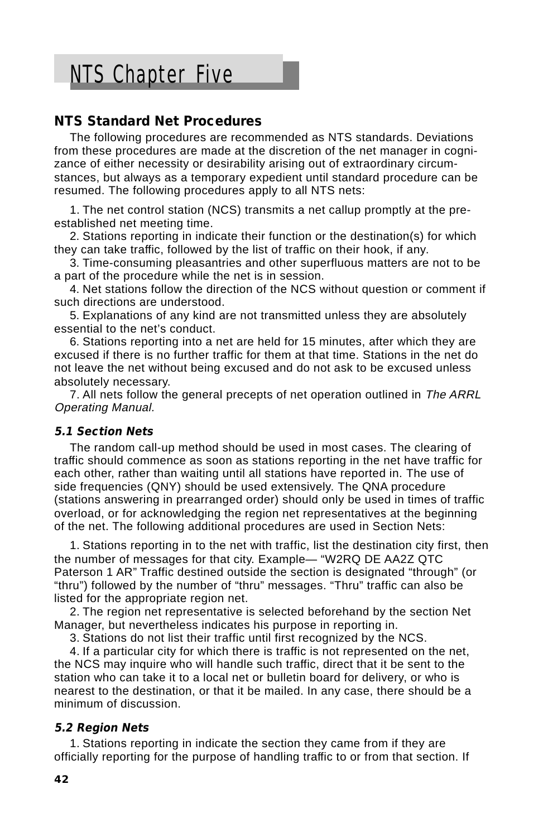## NTS Chapter Five

### **NTS Standard Net Procedures**

The following procedures are recommended as NTS standards. Deviations from these procedures are made at the discretion of the net manager in cognizance of either necessity or desirability arising out of extraordinary circumstances, but always as a temporary expedient until standard procedure can be resumed. The following procedures apply to all NTS nets:

1. The net control station (NCS) transmits a net callup promptly at the preestablished net meeting time.

2. Stations reporting in indicate their function or the destination(s) for which they can take traffic, followed by the list of traffic on their hook, if any.

3. Time-consuming pleasantries and other superfluous matters are not to be a part of the procedure while the net is in session.

4. Net stations follow the direction of the NCS without question or comment if such directions are understood.

5. Explanations of any kind are not transmitted unless they are absolutely essential to the net's conduct.

6. Stations reporting into a net are held for 15 minutes, after which they are excused if there is no further traffic for them at that time. Stations in the net do not leave the net without being excused and do not ask to be excused unless absolutely necessary.

7. All nets follow the general precepts of net operation outlined in The ARRL Operating Manual.

#### **5.1 Section Nets**

The random call-up method should be used in most cases. The clearing of traffic should commence as soon as stations reporting in the net have traffic for each other, rather than waiting until all stations have reported in. The use of side frequencies (QNY) should be used extensively. The QNA procedure (stations answering in prearranged order) should only be used in times of traffic overload, or for acknowledging the region net representatives at the beginning of the net. The following additional procedures are used in Section Nets:

1. Stations reporting in to the net with traffic, list the destination city first, then the number of messages for that city. Example— "W2RQ DE AA2Z QTC Paterson 1 AR" Traffic destined outside the section is designated "through" (or "thru") followed by the number of "thru" messages. "Thru" traffic can also be listed for the appropriate region net.

2. The region net representative is selected beforehand by the section Net Manager, but nevertheless indicates his purpose in reporting in.

3. Stations do not list their traffic until first recognized by the NCS.

4. If a particular city for which there is traffic is not represented on the net, the NCS may inquire who will handle such traffic, direct that it be sent to the station who can take it to a local net or bulletin board for delivery, or who is nearest to the destination, or that it be mailed. In any case, there should be a minimum of discussion.

#### **5.2 Region Nets**

1. Stations reporting in indicate the section they came from if they are officially reporting for the purpose of handling traffic to or from that section. If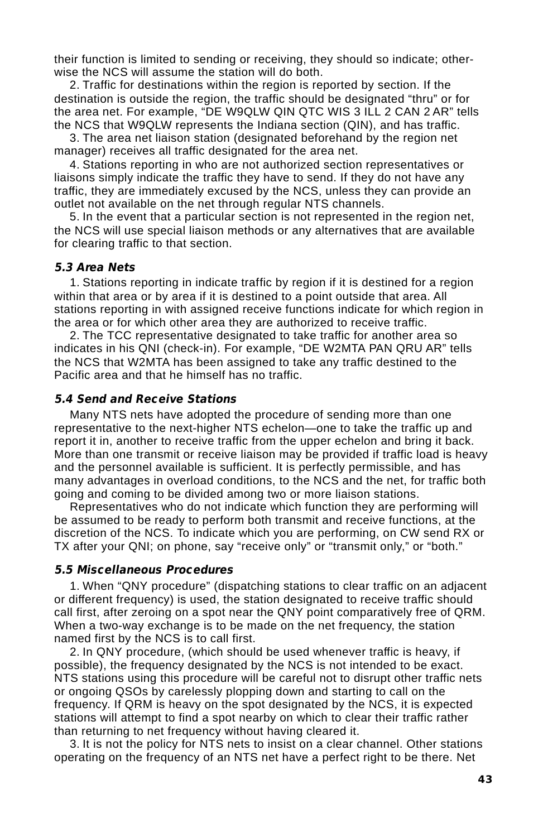their function is limited to sending or receiving, they should so indicate; otherwise the NCS will assume the station will do both.

2. Traffic for destinations within the region is reported by section. If the destination is outside the region, the traffic should be designated "thru" or for the area net. For example, "DE W9QLW QIN QTC WIS 3 ILL 2 CAN 2 AR" tells the NCS that W9QLW represents the Indiana section (QIN), and has traffic.

3. The area net liaison station (designated beforehand by the region net manager) receives all traffic designated for the area net.

4. Stations reporting in who are not authorized section representatives or liaisons simply indicate the traffic they have to send. If they do not have any traffic, they are immediately excused by the NCS, unless they can provide an outlet not available on the net through regular NTS channels.

5. In the event that a particular section is not represented in the region net, the NCS will use special liaison methods or any alternatives that are available for clearing traffic to that section.

#### **5.3 Area Nets**

1. Stations reporting in indicate traffic by region if it is destined for a region within that area or by area if it is destined to a point outside that area. All stations reporting in with assigned receive functions indicate for which region in the area or for which other area they are authorized to receive traffic.

2. The TCC representative designated to take traffic for another area so indicates in his QNI (check-in). For example, "DE W2MTA PAN QRU AR" tells the NCS that W2MTA has been assigned to take any traffic destined to the Pacific area and that he himself has no traffic.

#### **5.4 Send and Receive Stations**

Many NTS nets have adopted the procedure of sending more than one representative to the next-higher NTS echelon—one to take the traffic up and report it in, another to receive traffic from the upper echelon and bring it back. More than one transmit or receive liaison may be provided if traffic load is heavy and the personnel available is sufficient. It is perfectly permissible, and has many advantages in overload conditions, to the NCS and the net, for traffic both going and coming to be divided among two or more liaison stations.

Representatives who do not indicate which function they are performing will be assumed to be ready to perform both transmit and receive functions, at the discretion of the NCS. To indicate which you are performing, on CW send RX or TX after your QNI; on phone, say "receive only" or "transmit only," or "both."

#### **5.5 Miscellaneous Procedures**

1. When "QNY procedure" (dispatching stations to clear traffic on an adjacent or different frequency) is used, the station designated to receive traffic should call first, after zeroing on a spot near the QNY point comparatively free of QRM. When a two-way exchange is to be made on the net frequency, the station named first by the NCS is to call first.

2. In QNY procedure, (which should be used whenever traffic is heavy, if possible), the frequency designated by the NCS is not intended to be exact. NTS stations using this procedure will be careful not to disrupt other traffic nets or ongoing QSOs by carelessly plopping down and starting to call on the frequency. If QRM is heavy on the spot designated by the NCS, it is expected stations will attempt to find a spot nearby on which to clear their traffic rather than returning to net frequency without having cleared it.

3. It is not the policy for NTS nets to insist on a clear channel. Other stations operating on the frequency of an NTS net have a perfect right to be there. Net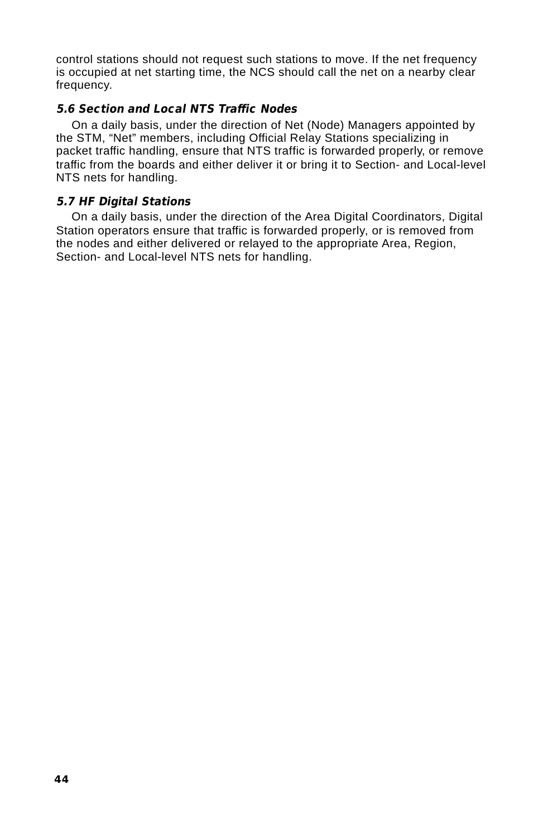control stations should not request such stations to move. If the net frequency is occupied at net starting time, the NCS should call the net on a nearby clear frequency.

#### **5.6 Section and Local NTS Traffic Nodes**

On a daily basis, under the direction of Net (Node) Managers appointed by the STM, "Net" members, including Official Relay Stations specializing in packet traffic handling, ensure that NTS traffic is forwarded properly, or remove traffic from the boards and either deliver it or bring it to Section- and Local-level NTS nets for handling.

#### **5.7 HF Digital Stations**

On a daily basis, under the direction of the Area Digital Coordinators, Digital Station operators ensure that traffic is forwarded properly, or is removed from the nodes and either delivered or relayed to the appropriate Area, Region, Section- and Local-level NTS nets for handling.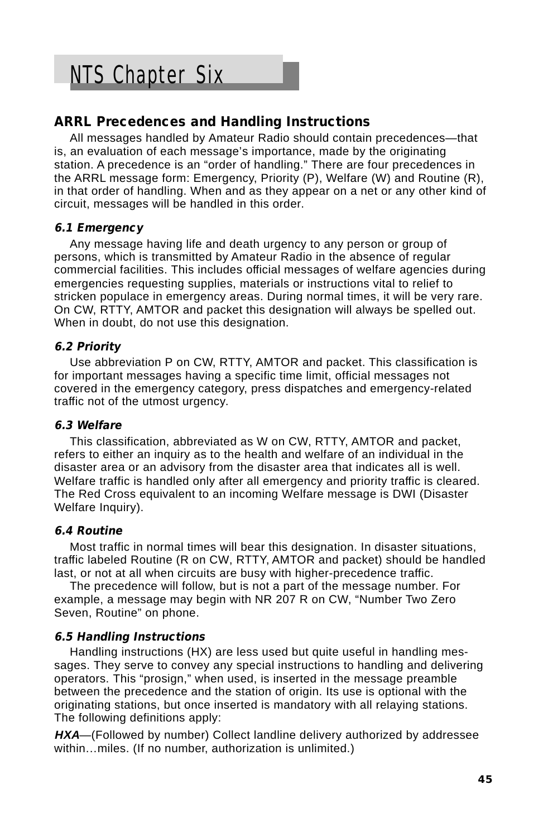## NTS Chapter Six

## **ARRL Precedences and Handling Instructions**

All messages handled by Amateur Radio should contain precedences—that is, an evaluation of each message's importance, made by the originating station. A precedence is an "order of handling." There are four precedences in the ARRL message form: Emergency, Priority (P), Welfare (W) and Routine (R), in that order of handling. When and as they appear on a net or any other kind of circuit, messages will be handled in this order.

#### **6.1 Emergency**

Any message having life and death urgency to any person or group of persons, which is transmitted by Amateur Radio in the absence of regular commercial facilities. This includes official messages of welfare agencies during emergencies requesting supplies, materials or instructions vital to relief to stricken populace in emergency areas. During normal times, it will be very rare. On CW, RTTY, AMTOR and packet this designation will always be spelled out. When in doubt, do not use this designation.

### **6.2 Priority**

Use abbreviation P on CW, RTTY, AMTOR and packet. This classification is for important messages having a specific time limit, official messages not covered in the emergency category, press dispatches and emergency-related traffic not of the utmost urgency.

#### **6.3 Welfare**

This classification, abbreviated as W on CW, RTTY, AMTOR and packet, refers to either an inquiry as to the health and welfare of an individual in the disaster area or an advisory from the disaster area that indicates all is well. Welfare traffic is handled only after all emergency and priority traffic is cleared. The Red Cross equivalent to an incoming Welfare message is DWI (Disaster Welfare Inquiry).

### **6.4 Routine**

Most traffic in normal times will bear this designation. In disaster situations, traffic labeled Routine (R on CW, RTTY, AMTOR and packet) should be handled last, or not at all when circuits are busy with higher-precedence traffic.

The precedence will follow, but is not a part of the message number. For example, a message may begin with NR 207 R on CW, "Number Two Zero Seven, Routine" on phone.

### **6.5 Handling Instructions**

Handling instructions (HX) are less used but quite useful in handling messages. They serve to convey any special instructions to handling and delivering operators. This "prosign," when used, is inserted in the message preamble between the precedence and the station of origin. Its use is optional with the originating stations, but once inserted is mandatory with all relaying stations. The following definitions apply:

**HXA**—(Followed by number) Collect landline delivery authorized by addressee within...miles. (If no number, authorization is unlimited.)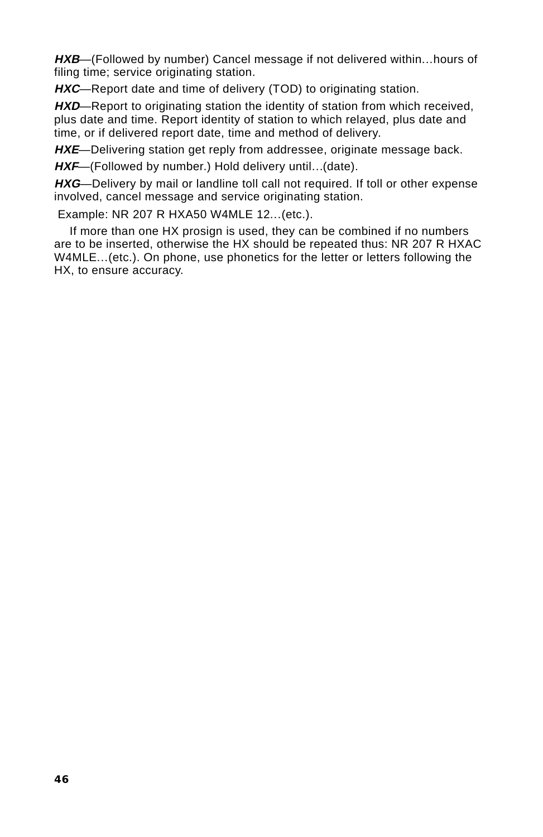**HXB**—(Followed by number) Cancel message if not delivered within...hours of filing time; service originating station.

**HXC**—Report date and time of delivery (TOD) to originating station.

**HXD**—Report to originating station the identity of station from which received, plus date and time. Report identity of station to which relayed, plus date and time, or if delivered report date, time and method of delivery.

**HXE**—Delivering station get reply from addressee, originate message back.

**HXF**—(Followed by number.) Hold delivery until...(date).

**HXG**—Delivery by mail or landline toll call not required. If toll or other expense involved, cancel message and service originating station.

Example: NR 207 R HXA50 W4MLE 12...(etc.).

If more than one HX prosign is used, they can be combined if no numbers are to be inserted, otherwise the HX should be repeated thus: NR 207 R HXAC W4MLE...(etc.). On phone, use phonetics for the letter or letters following the HX, to ensure accuracy.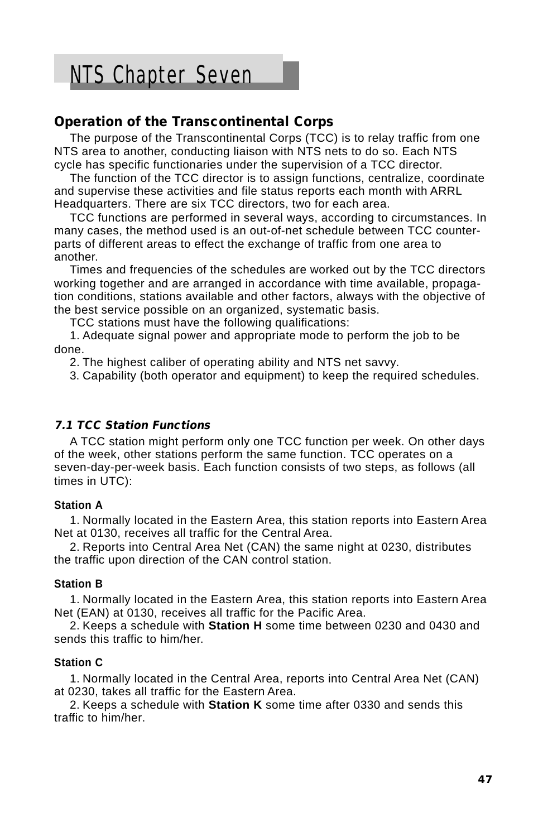## NTS Chapter Seven

### **Operation of the Transcontinental Corps**

The purpose of the Transcontinental Corps (TCC) is to relay traffic from one NTS area to another, conducting liaison with NTS nets to do so. Each NTS cycle has specific functionaries under the supervision of a TCC director.

The function of the TCC director is to assign functions, centralize, coordinate and supervise these activities and file status reports each month with ARRL Headquarters. There are six TCC directors, two for each area.

TCC functions are performed in several ways, according to circumstances. In many cases, the method used is an out-of-net schedule between TCC counterparts of different areas to effect the exchange of traffic from one area to another.

Times and frequencies of the schedules are worked out by the TCC directors working together and are arranged in accordance with time available, propagation conditions, stations available and other factors, always with the objective of the best service possible on an organized, systematic basis.

TCC stations must have the following qualifications:

1. Adequate signal power and appropriate mode to perform the job to be done.

2. The highest caliber of operating ability and NTS net savvy.

3. Capability (both operator and equipment) to keep the required schedules.

#### **7.1 TCC Station Functions**

A TCC station might perform only one TCC function per week. On other days of the week, other stations perform the same function. TCC operates on a seven-day-per-week basis. Each function consists of two steps, as follows (all times in UTC):

#### **Station A**

1. Normally located in the Eastern Area, this station reports into Eastern Area Net at 0130, receives all traffic for the Central Area.

2. Reports into Central Area Net (CAN) the same night at 0230, distributes the traffic upon direction of the CAN control station.

#### **Station B**

1. Normally located in the Eastern Area, this station reports into Eastern Area Net (EAN) at 0130, receives all traffic for the Pacific Area.

2. Keeps a schedule with **Station H** some time between 0230 and 0430 and sends this traffic to him/her.

#### **Station C**

1. Normally located in the Central Area, reports into Central Area Net (CAN) at 0230, takes all traffic for the Eastern Area.

2. Keeps a schedule with **Station K** some time after 0330 and sends this traffic to him/her.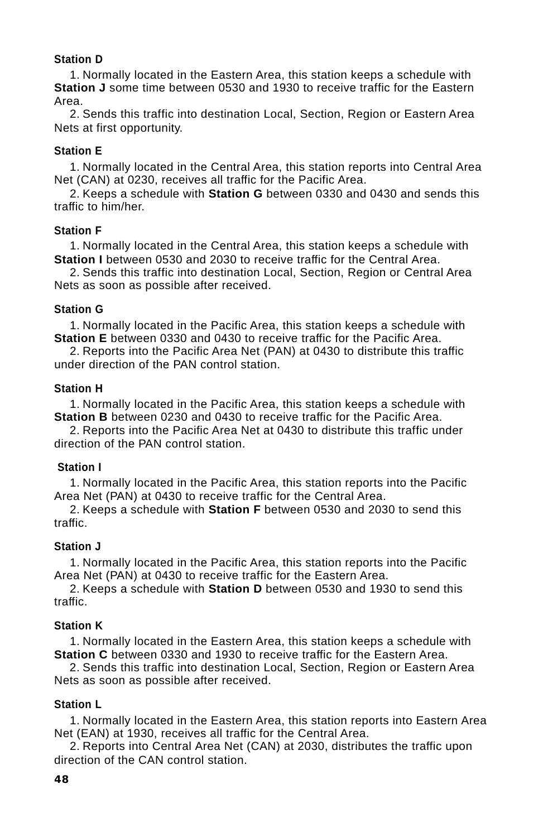#### **Station D**

1. Normally located in the Eastern Area, this station keeps a schedule with **Station J** some time between 0530 and 1930 to receive traffic for the Eastern Area.

2. Sends this traffic into destination Local, Section, Region or Eastern Area Nets at first opportunity.

#### **Station E**

1. Normally located in the Central Area, this station reports into Central Area Net (CAN) at 0230, receives all traffic for the Pacific Area.

2. Keeps a schedule with **Station G** between 0330 and 0430 and sends this traffic to him/her.

#### **Station F**

1. Normally located in the Central Area, this station keeps a schedule with **Station I** between 0530 and 2030 to receive traffic for the Central Area.

2. Sends this traffic into destination Local, Section, Region or Central Area Nets as soon as possible after received.

#### **Station G**

1. Normally located in the Pacific Area, this station keeps a schedule with **Station E** between 0330 and 0430 to receive traffic for the Pacific Area.

2. Reports into the Pacific Area Net (PAN) at 0430 to distribute this traffic under direction of the PAN control station.

#### **Station H**

1. Normally located in the Pacific Area, this station keeps a schedule with **Station B** between 0230 and 0430 to receive traffic for the Pacific Area.

2. Reports into the Pacific Area Net at 0430 to distribute this traffic under direction of the PAN control station.

#### **Station I**

1. Normally located in the Pacific Area, this station reports into the Pacific Area Net (PAN) at 0430 to receive traffic for the Central Area.

2. Keeps a schedule with **Station F** between 0530 and 2030 to send this traffic.

#### **Station J**

1. Normally located in the Pacific Area, this station reports into the Pacific Area Net (PAN) at 0430 to receive traffic for the Eastern Area.

2. Keeps a schedule with **Station D** between 0530 and 1930 to send this traffic.

#### **Station K**

1. Normally located in the Eastern Area, this station keeps a schedule with **Station C** between 0330 and 1930 to receive traffic for the Eastern Area.

2. Sends this traffic into destination Local, Section, Region or Eastern Area Nets as soon as possible after received.

#### **Station L**

1. Normally located in the Eastern Area, this station reports into Eastern Area Net (EAN) at 1930, receives all traffic for the Central Area.

2. Reports into Central Area Net (CAN) at 2030, distributes the traffic upon direction of the CAN control station.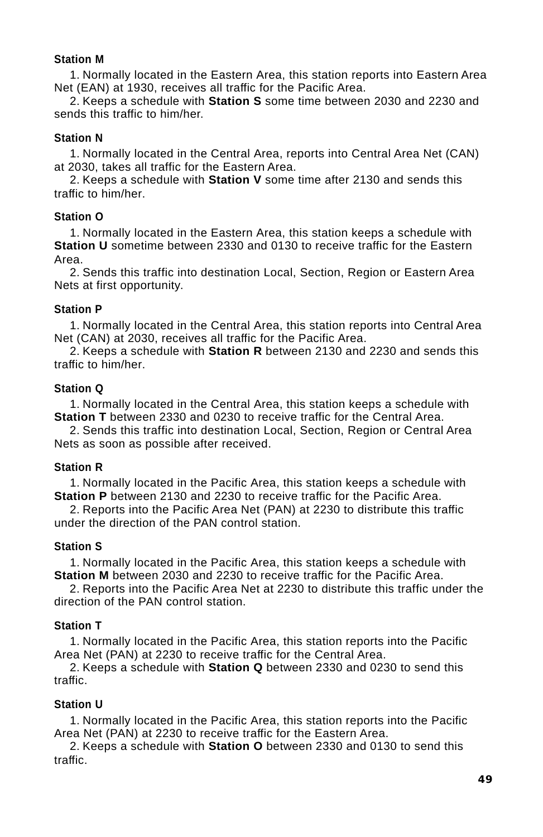#### **Station M**

1. Normally located in the Eastern Area, this station reports into Eastern Area Net (EAN) at 1930, receives all traffic for the Pacific Area.

2. Keeps a schedule with **Station S** some time between 2030 and 2230 and sends this traffic to him/her.

#### **Station N**

1. Normally located in the Central Area, reports into Central Area Net (CAN) at 2030, takes all traffic for the Eastern Area.

2. Keeps a schedule with **Station V** some time after 2130 and sends this traffic to him/her.

#### **Station O**

1. Normally located in the Eastern Area, this station keeps a schedule with **Station U** sometime between 2330 and 0130 to receive traffic for the Eastern Area.

2. Sends this traffic into destination Local, Section, Region or Eastern Area Nets at first opportunity.

#### **Station P**

1. Normally located in the Central Area, this station reports into Central Area Net (CAN) at 2030, receives all traffic for the Pacific Area.

2. Keeps a schedule with **Station R** between 2130 and 2230 and sends this traffic to him/her.

#### **Station Q**

1. Normally located in the Central Area, this station keeps a schedule with **Station T** between 2330 and 0230 to receive traffic for the Central Area.

2. Sends this traffic into destination Local, Section, Region or Central Area Nets as soon as possible after received.

#### **Station R**

1. Normally located in the Pacific Area, this station keeps a schedule with **Station P** between 2130 and 2230 to receive traffic for the Pacific Area.

2. Reports into the Pacific Area Net (PAN) at 2230 to distribute this traffic under the direction of the PAN control station.

#### **Station S**

1. Normally located in the Pacific Area, this station keeps a schedule with **Station M** between 2030 and 2230 to receive traffic for the Pacific Area.

2. Reports into the Pacific Area Net at 2230 to distribute this traffic under the direction of the PAN control station.

#### **Station T**

1. Normally located in the Pacific Area, this station reports into the Pacific Area Net (PAN) at 2230 to receive traffic for the Central Area.

2. Keeps a schedule with **Station Q** between 2330 and 0230 to send this traffic.

#### **Station U**

1. Normally located in the Pacific Area, this station reports into the Pacific Area Net (PAN) at 2230 to receive traffic for the Eastern Area.

2. Keeps a schedule with **Station O** between 2330 and 0130 to send this traffic.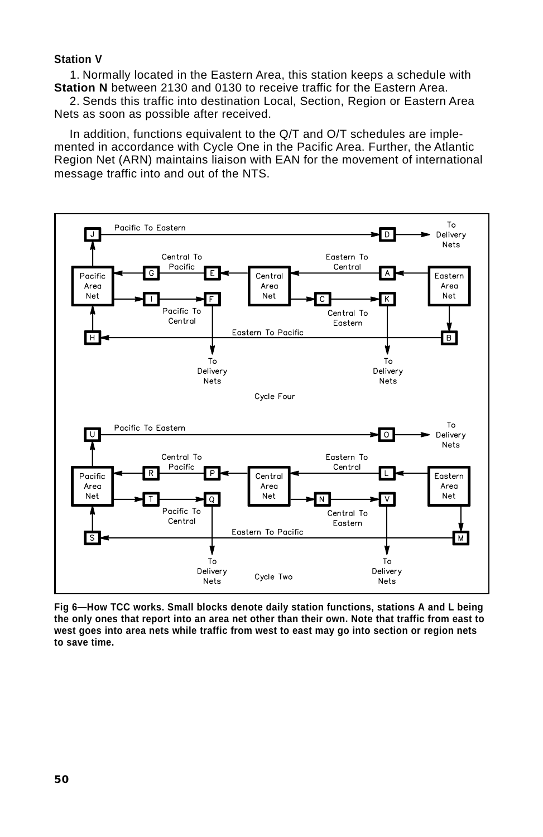#### **Station V**

1. Normally located in the Eastern Area, this station keeps a schedule with **Station N** between 2130 and 0130 to receive traffic for the Eastern Area.

2. Sends this traffic into destination Local, Section, Region or Eastern Area Nets as soon as possible after received.

In addition, functions equivalent to the Q/T and O/T schedules are implemented in accordance with Cycle One in the Pacific Area. Further, the Atlantic Region Net (ARN) maintains liaison with EAN for the movement of international message traffic into and out of the NTS.



**Fig 6—How TCC works. Small blocks denote daily station functions, stations A and L being the only ones that report into an area net other than their own. Note that traffic from east to west goes into area nets while traffic from west to east may go into section or region nets to save time.**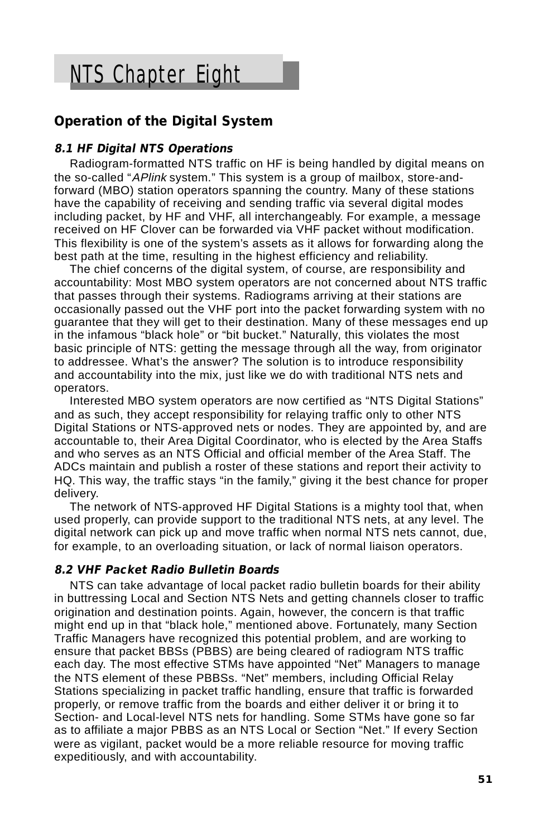## NTS Chapter Eight

## **Operation of the Digital System**

#### **8.1 HF Digital NTS Operations**

Radiogram-formatted NTS traffic on HF is being handled by digital means on the so-called "APlink system." This system is a group of mailbox, store-andforward (MBO) station operators spanning the country. Many of these stations have the capability of receiving and sending traffic via several digital modes including packet, by HF and VHF, all interchangeably. For example, a message received on HF Clover can be forwarded via VHF packet without modification. This flexibility is one of the system's assets as it allows for forwarding along the best path at the time, resulting in the highest efficiency and reliability.

The chief concerns of the digital system, of course, are responsibility and accountability: Most MBO system operators are not concerned about NTS traffic that passes through their systems. Radiograms arriving at their stations are occasionally passed out the VHF port into the packet forwarding system with no guarantee that they will get to their destination. Many of these messages end up in the infamous "black hole" or "bit bucket." Naturally, this violates the most basic principle of NTS: getting the message through all the way, from originator to addressee. What's the answer? The solution is to introduce responsibility and accountability into the mix, just like we do with traditional NTS nets and operators.

Interested MBO system operators are now certified as "NTS Digital Stations" and as such, they accept responsibility for relaying traffic only to other NTS Digital Stations or NTS-approved nets or nodes. They are appointed by, and are accountable to, their Area Digital Coordinator, who is elected by the Area Staffs and who serves as an NTS Official and official member of the Area Staff. The ADCs maintain and publish a roster of these stations and report their activity to HQ. This way, the traffic stays "in the family," giving it the best chance for proper delivery.

The network of NTS-approved HF Digital Stations is a mighty tool that, when used properly, can provide support to the traditional NTS nets, at any level. The digital network can pick up and move traffic when normal NTS nets cannot, due, for example, to an overloading situation, or lack of normal liaison operators.

#### **8.2 VHF Packet Radio Bulletin Boards**

NTS can take advantage of local packet radio bulletin boards for their ability in buttressing Local and Section NTS Nets and getting channels closer to traffic origination and destination points. Again, however, the concern is that traffic might end up in that "black hole," mentioned above. Fortunately, many Section Traffic Managers have recognized this potential problem, and are working to ensure that packet BBSs (PBBS) are being cleared of radiogram NTS traffic each day. The most effective STMs have appointed "Net" Managers to manage the NTS element of these PBBSs. "Net" members, including Official Relay Stations specializing in packet traffic handling, ensure that traffic is forwarded properly, or remove traffic from the boards and either deliver it or bring it to Section- and Local-level NTS nets for handling. Some STMs have gone so far as to affiliate a major PBBS as an NTS Local or Section "Net." If every Section were as vigilant, packet would be a more reliable resource for moving traffic expeditiously, and with accountability.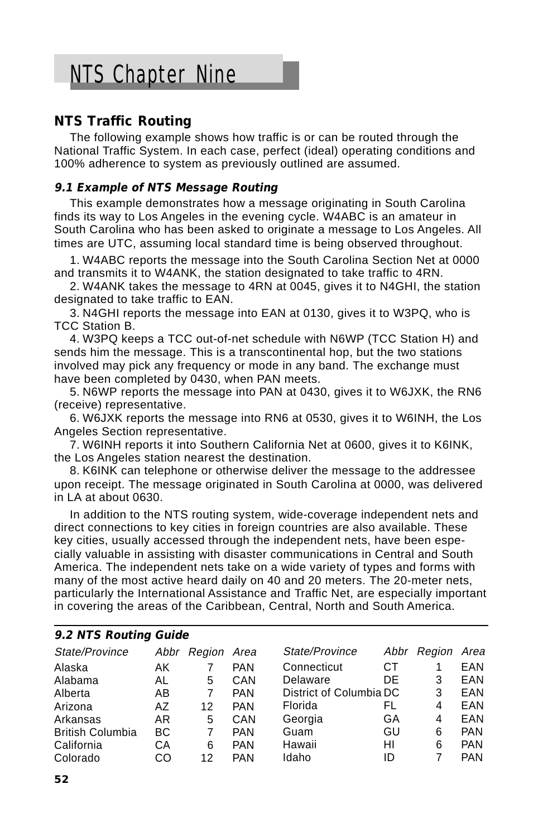## NTS Chapter Nine

## **NTS Traffic Routing**

The following example shows how traffic is or can be routed through the National Traffic System. In each case, perfect (ideal) operating conditions and 100% adherence to system as previously outlined are assumed.

### **9.1 Example of NTS Message Routing**

This example demonstrates how a message originating in South Carolina finds its way to Los Angeles in the evening cycle. W4ABC is an amateur in South Carolina who has been asked to originate a message to Los Angeles. All times are UTC, assuming local standard time is being observed throughout.

1. W4ABC reports the message into the South Carolina Section Net at 0000 and transmits it to W4ANK, the station designated to take traffic to 4RN.

2. W4ANK takes the message to 4RN at 0045, gives it to N4GHI, the station designated to take traffic to EAN.

3. N4GHI reports the message into EAN at 0130, gives it to W3PQ, who is TCC Station B.

4. W3PQ keeps a TCC out-of-net schedule with N6WP (TCC Station H) and sends him the message. This is a transcontinental hop, but the two stations involved may pick any frequency or mode in any band. The exchange must have been completed by 0430, when PAN meets.

5. N6WP reports the message into PAN at 0430, gives it to W6JXK, the RN6 (receive) representative.

6. W6JXK reports the message into RN6 at 0530, gives it to W6INH, the Los Angeles Section representative.

7. W6INH reports it into Southern California Net at 0600, gives it to K6INK, the Los Angeles station nearest the destination.

8. K6INK can telephone or otherwise deliver the message to the addressee upon receipt. The message originated in South Carolina at 0000, was delivered in LA at about 0630.

In addition to the NTS routing system, wide-coverage independent nets and direct connections to key cities in foreign countries are also available. These key cities, usually accessed through the independent nets, have been especially valuable in assisting with disaster communications in Central and South America. The independent nets take on a wide variety of types and forms with many of the most active heard daily on 40 and 20 meters. The 20-meter nets, particularly the International Assistance and Traffic Net, are especially important in covering the areas of the Caribbean, Central, North and South America.

### **9.2 NTS Routing Guide**

| State/Province          | Abbr | Region | Area       | State/Province          | Abbr | Region | Area       |
|-------------------------|------|--------|------------|-------------------------|------|--------|------------|
| Alaska                  | AΚ   |        | <b>PAN</b> | Connecticut             | CТ   | 1      | EAN        |
| Alabama                 | AL   | 5      | CAN        | Delaware                | DF   | 3      | EAN        |
| Alberta                 | AВ   | 7      | <b>PAN</b> | District of Columbia DC |      | 3      | EAN        |
| Arizona                 | AZ   | 12     | <b>PAN</b> | Florida                 | FL   | 4      | EAN        |
| Arkansas                | AR   | 5      | CAN        | Georgia                 | GA   | 4      | EAN        |
| <b>British Columbia</b> | BС   | 7      | <b>PAN</b> | Guam                    | GU   | 6      | <b>PAN</b> |
| California              | CА   | 6      | <b>PAN</b> | Hawaii                  | ΗI   | 6      | <b>PAN</b> |
| Colorado                | CO   | 12     | <b>PAN</b> | Idaho                   | ID   |        | <b>PAN</b> |
|                         |      |        |            |                         |      |        |            |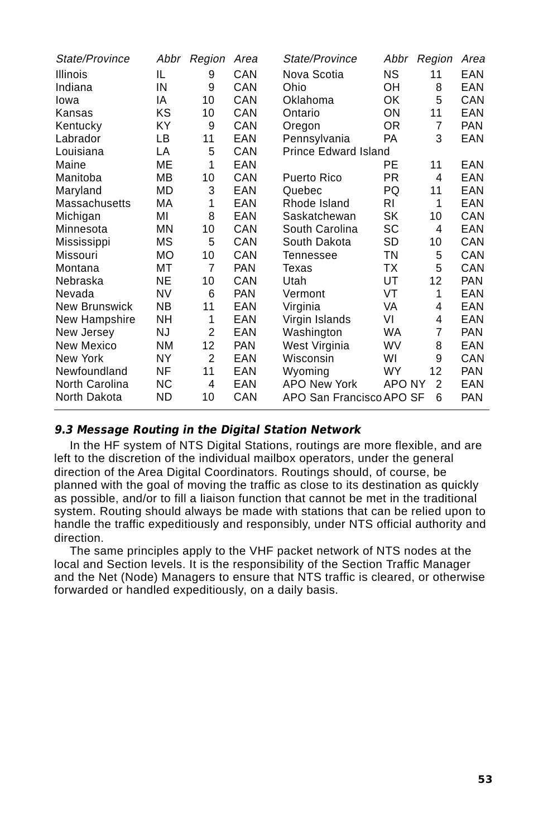| State/Province       | Abbr      | Region         | Area       | State/Province              | Abbr      | Region | Area       |
|----------------------|-----------|----------------|------------|-----------------------------|-----------|--------|------------|
| <b>Illinois</b>      | IL        | 9              | CAN        | Nova Scotia                 | ΝS        | 11     | EAN        |
| Indiana              | IN        | 9              | CAN        | Ohio                        | OН        | 8      | EAN        |
| Iowa                 | ΙA        | 10             | CAN        | Oklahoma                    | OK        | 5      | CAN        |
| Kansas               | ΚS        | 10             | CAN        | Ontario                     | ON        | 11     | EAN        |
| Kentucky             | ΚY        | 9              | CAN        | Oregon                      | 0R        | 7      | <b>PAN</b> |
| Labrador             | LВ        | 11             | EAN        | Pennsylvania                | PA        | 3      | EAN        |
| Louisiana            | LA        | 5              | CAN        | <b>Prince Edward Island</b> |           |        |            |
| Maine                | MЕ        | 1              | EAN        |                             | РE        | 11     | EAN        |
| Manitoba             | MВ        | 10             | CAN        | Puerto Rico                 | <b>PR</b> | 4      | EAN        |
| Maryland             | MD        | 3              | EAN        | Quebec                      | PQ.       | 11     | EAN        |
| Massachusetts        | МA        | 1              | EAN        | Rhode Island                | RI        | 1      | EAN        |
| Michigan             | MI        | 8              | EAN        | Saskatchewan                | SK        | 10     | CAN        |
| Minnesota            | ΜN        | 10             | CAN        | South Carolina              | SC        | 4      | EAN        |
| Mississippi          | МS        | 5              | CAN        | South Dakota                | SD        | 10     | CAN        |
| Missouri             | МO        | 10             | CAN        | Tennessee                   | ΤN        | 5      | CAN        |
| Montana              | МT        | 7              | <b>PAN</b> | Texas                       | ТX        | 5      | CAN        |
| Nebraska             | NE.       | 10             | CAN        | Utah                        | UT        | 12     | <b>PAN</b> |
| Nevada               | NV        | 6              | <b>PAN</b> | Vermont                     | VT        | 1      | EAN        |
| <b>New Brunswick</b> | NB.       | 11             | EAN        | Virginia                    | VA        | 4      | EAN        |
| New Hampshire        | NΗ        | 1              | EAN        | Virgin Islands              | VI        | 4      | EAN        |
| New Jersey           | NJ        | 2              | EAN        | Washington                  | WA        | 7      | <b>PAN</b> |
| New Mexico           | <b>NM</b> | 12             | PAN        | West Virginia               | WV        | 8      | EAN        |
| New York             | NY.       | $\overline{2}$ | EAN        | Wisconsin                   | WI        | 9      | CAN        |
| Newfoundland         | ΝF        | 11             | EAN        | Wyoming                     | WY        | 12     | <b>PAN</b> |
| North Carolina       | NС        | 4              | EAN        | <b>APO New York</b>         | APO NY    | 2      | EAN        |
| North Dakota         | ND        | 10             | CAN        | APO San Francisco APO SF    |           | 6      | <b>PAN</b> |

#### **9.3 Message Routing in the Digital Station Network**

In the HF system of NTS Digital Stations, routings are more flexible, and are left to the discretion of the individual mailbox operators, under the general direction of the Area Digital Coordinators. Routings should, of course, be planned with the goal of moving the traffic as close to its destination as quickly as possible, and/or to fill a liaison function that cannot be met in the traditional system. Routing should always be made with stations that can be relied upon to handle the traffic expeditiously and responsibly, under NTS official authority and direction.

The same principles apply to the VHF packet network of NTS nodes at the local and Section levels. It is the responsibility of the Section Traffic Manager and the Net (Node) Managers to ensure that NTS traffic is cleared, or otherwise forwarded or handled expeditiously, on a daily basis.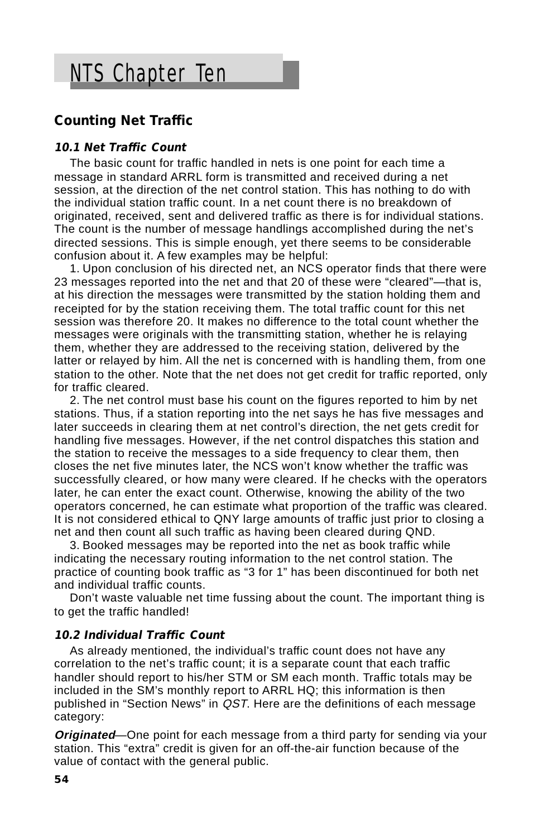## NTS Chapter Ten

## **Counting Net Traffic**

#### **10.1 Net Traffic Count**

The basic count for traffic handled in nets is one point for each time a message in standard ARRL form is transmitted and received during a net session, at the direction of the net control station. This has nothing to do with the individual station traffic count. In a net count there is no breakdown of originated, received, sent and delivered traffic as there is for individual stations. The count is the number of message handlings accomplished during the net's directed sessions. This is simple enough, yet there seems to be considerable confusion about it. A few examples may be helpful:

1. Upon conclusion of his directed net, an NCS operator finds that there were 23 messages reported into the net and that 20 of these were "cleared"—that is, at his direction the messages were transmitted by the station holding them and receipted for by the station receiving them. The total traffic count for this net session was therefore 20. It makes no difference to the total count whether the messages were originals with the transmitting station, whether he is relaying them, whether they are addressed to the receiving station, delivered by the latter or relayed by him. All the net is concerned with is handling them, from one station to the other. Note that the net does not get credit for traffic reported, only for traffic cleared.

2. The net control must base his count on the figures reported to him by net stations. Thus, if a station reporting into the net says he has five messages and later succeeds in clearing them at net control's direction, the net gets credit for handling five messages. However, if the net control dispatches this station and the station to receive the messages to a side frequency to clear them, then closes the net five minutes later, the NCS won't know whether the traffic was successfully cleared, or how many were cleared. If he checks with the operators later, he can enter the exact count. Otherwise, knowing the ability of the two operators concerned, he can estimate what proportion of the traffic was cleared. It is not considered ethical to QNY large amounts of traffic just prior to closing a net and then count all such traffic as having been cleared during QND.

3. Booked messages may be reported into the net as book traffic while indicating the necessary routing information to the net control station. The practice of counting book traffic as "3 for 1" has been discontinued for both net and individual traffic counts.

Don't waste valuable net time fussing about the count. The important thing is to get the traffic handled!

#### **10.2 Individual Traffic Count**

As already mentioned, the individual's traffic count does not have any correlation to the net's traffic count; it is a separate count that each traffic handler should report to his/her STM or SM each month. Traffic totals may be included in the SM's monthly report to ARRL HQ; this information is then published in "Section News" in QST. Here are the definitions of each message category:

**Originated**—One point for each message from a third party for sending via your station. This "extra" credit is given for an off-the-air function because of the value of contact with the general public.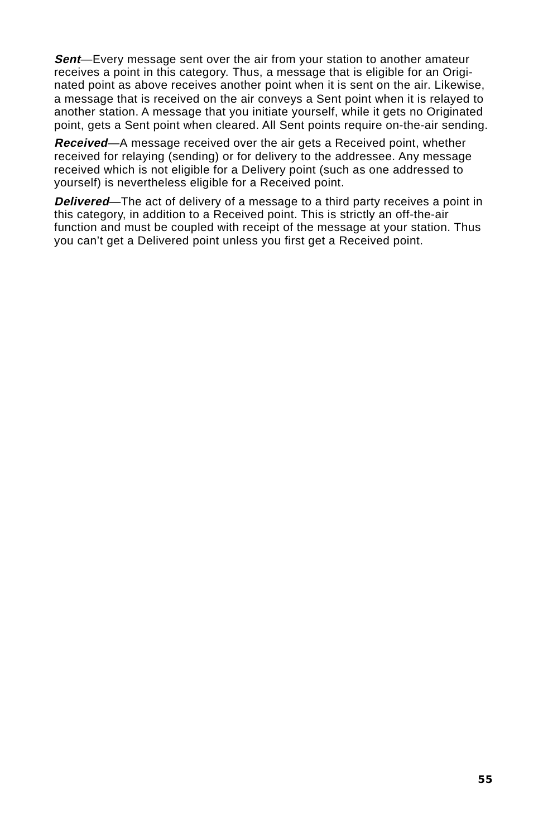**Sent**—Every message sent over the air from your station to another amateur receives a point in this category. Thus, a message that is eligible for an Originated point as above receives another point when it is sent on the air. Likewise, a message that is received on the air conveys a Sent point when it is relayed to another station. A message that you initiate yourself, while it gets no Originated point, gets a Sent point when cleared. All Sent points require on-the-air sending.

**Received**—A message received over the air gets a Received point, whether received for relaying (sending) or for delivery to the addressee. Any message received which is not eligible for a Delivery point (such as one addressed to yourself) is nevertheless eligible for a Received point.

**Delivered**—The act of delivery of a message to a third party receives a point in this category, in addition to a Received point. This is strictly an off-the-air function and must be coupled with receipt of the message at your station. Thus you can't get a Delivered point unless you first get a Received point.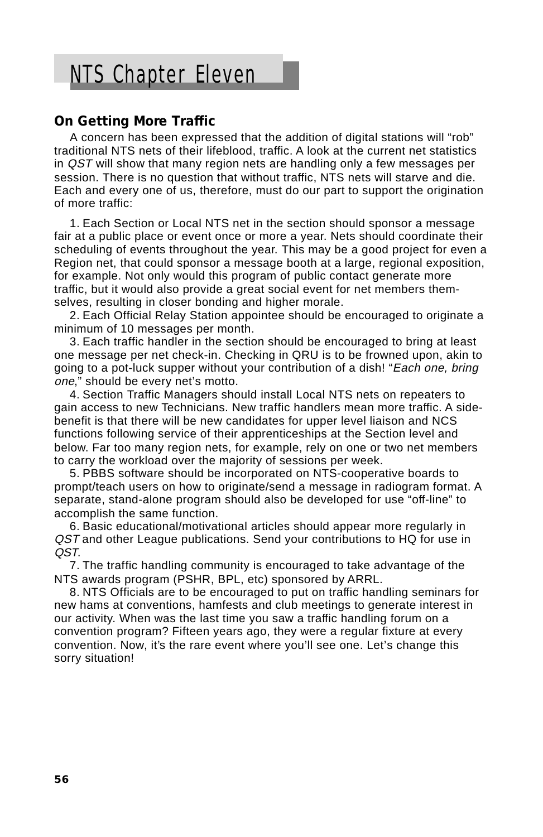## NTS Chapter Eleven

## **On Getting More Traffic**

A concern has been expressed that the addition of digital stations will "rob" traditional NTS nets of their lifeblood, traffic. A look at the current net statistics in  $QST$  will show that many region nets are handling only a few messages per session. There is no question that without traffic, NTS nets will starve and die. Each and every one of us, therefore, must do our part to support the origination of more traffic:

1. Each Section or Local NTS net in the section should sponsor a message fair at a public place or event once or more a year. Nets should coordinate their scheduling of events throughout the year. This may be a good project for even a Region net, that could sponsor a message booth at a large, regional exposition, for example. Not only would this program of public contact generate more traffic, but it would also provide a great social event for net members themselves, resulting in closer bonding and higher morale.

2. Each Official Relay Station appointee should be encouraged to originate a minimum of 10 messages per month.

3. Each traffic handler in the section should be encouraged to bring at least one message per net check-in. Checking in QRU is to be frowned upon, akin to going to a pot-luck supper without your contribution of a dish! "*Each one, bring* one," should be every net's motto.

4. Section Traffic Managers should install Local NTS nets on repeaters to gain access to new Technicians. New traffic handlers mean more traffic. A sidebenefit is that there will be new candidates for upper level liaison and NCS functions following service of their apprenticeships at the Section level and below. Far too many region nets, for example, rely on one or two net members to carry the workload over the majority of sessions per week.

5. PBBS software should be incorporated on NTS-cooperative boards to prompt/teach users on how to originate/send a message in radiogram format. A separate, stand-alone program should also be developed for use "off-line" to accomplish the same function.

6. Basic educational/motivational articles should appear more regularly in QST and other League publications. Send your contributions to HQ for use in QST.

7. The traffic handling community is encouraged to take advantage of the NTS awards program (PSHR, BPL, etc) sponsored by ARRL.

8. NTS Officials are to be encouraged to put on traffic handling seminars for new hams at conventions, hamfests and club meetings to generate interest in our activity. When was the last time you saw a traffic handling forum on a convention program? Fifteen years ago, they were a regular fixture at every convention. Now, it's the rare event where you'll see one. Let's change this sorry situation!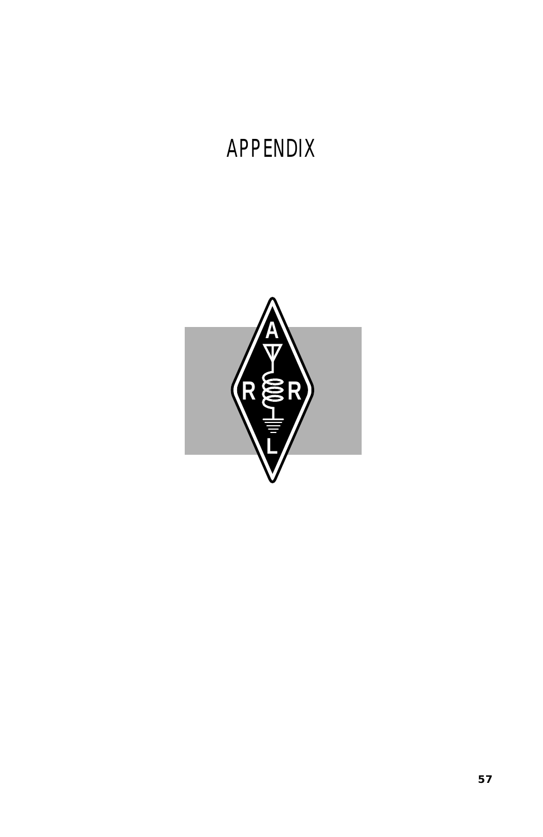## APPENDIX

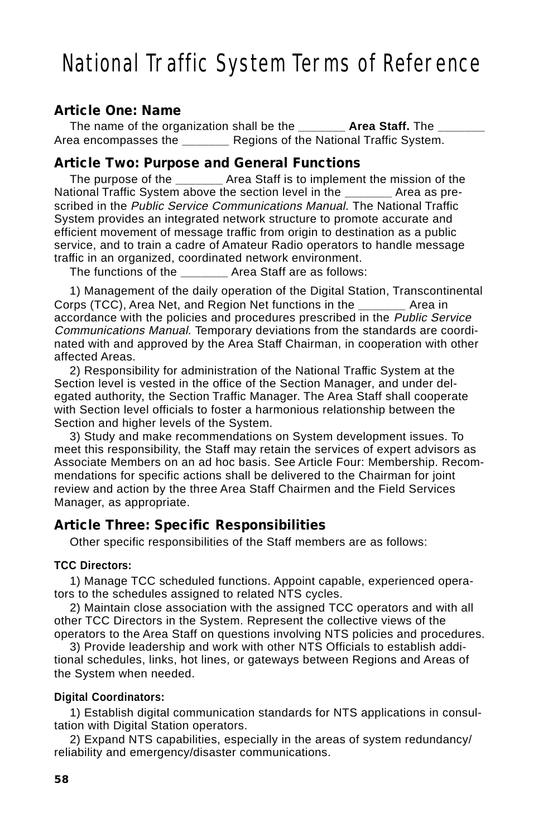## National Traffic System Terms of Reference

#### **Article One: Name**

The name of the organization shall be the **\_\_\_\_\_\_\_ Area Staff.** The **\_\_\_\_\_\_\_** Area encompasses the **\_\_\_\_\_\_\_** Regions of the National Traffic System.

### **Article Two: Purpose and General Functions**

The purpose of the **\_\_\_\_\_\_\_** Area Staff is to implement the mission of the National Traffic System above the section level in the **\_\_\_\_\_\_\_** Area as prescribed in the Public Service Communications Manual. The National Traffic System provides an integrated network structure to promote accurate and efficient movement of message traffic from origin to destination as a public service, and to train a cadre of Amateur Radio operators to handle message traffic in an organized, coordinated network environment.

The functions of the **\_\_\_\_\_\_\_** Area Staff are as follows:

1) Management of the daily operation of the Digital Station, Transcontinental Corps (TCC), Area Net, and Region Net functions in the **\_\_\_\_\_\_\_** Area in accordance with the policies and procedures prescribed in the Public Service Communications Manual. Temporary deviations from the standards are coordinated with and approved by the Area Staff Chairman, in cooperation with other affected Areas.

2) Responsibility for administration of the National Traffic System at the Section level is vested in the office of the Section Manager, and under delegated authority, the Section Traffic Manager. The Area Staff shall cooperate with Section level officials to foster a harmonious relationship between the Section and higher levels of the System.

3) Study and make recommendations on System development issues. To meet this responsibility, the Staff may retain the services of expert advisors as Associate Members on an ad hoc basis. See Article Four: Membership. Recommendations for specific actions shall be delivered to the Chairman for joint review and action by the three Area Staff Chairmen and the Field Services Manager, as appropriate.

#### **Article Three: Specific Responsibilities**

Other specific responsibilities of the Staff members are as follows:

### **TCC Directors:**

1) Manage TCC scheduled functions. Appoint capable, experienced operators to the schedules assigned to related NTS cycles.

2) Maintain close association with the assigned TCC operators and with all other TCC Directors in the System. Represent the collective views of the operators to the Area Staff on questions involving NTS policies and procedures.

3) Provide leadership and work with other NTS Officials to establish additional schedules, links, hot lines, or gateways between Regions and Areas of the System when needed.

#### **Digital Coordinators:**

1) Establish digital communication standards for NTS applications in consultation with Digital Station operators.

2) Expand NTS capabilities, especially in the areas of system redundancy/ reliability and emergency/disaster communications.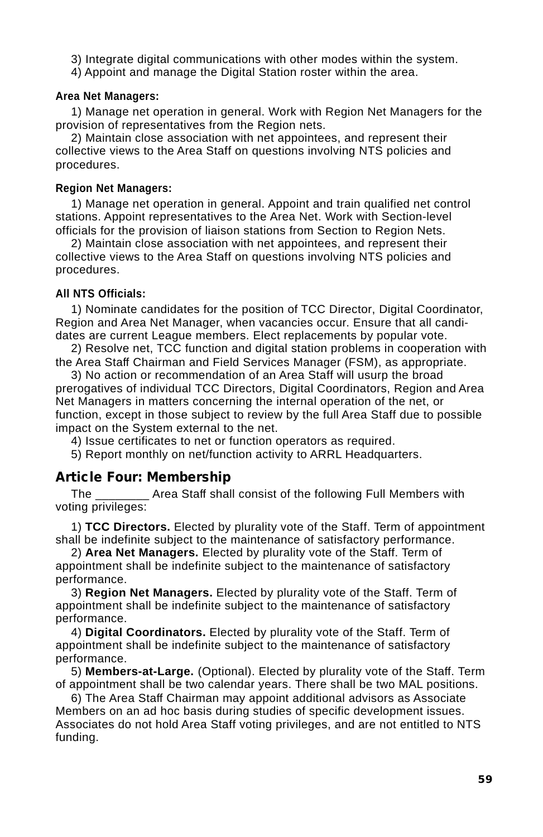3) Integrate digital communications with other modes within the system.

4) Appoint and manage the Digital Station roster within the area.

#### **Area Net Managers:**

1) Manage net operation in general. Work with Region Net Managers for the provision of representatives from the Region nets.

2) Maintain close association with net appointees, and represent their collective views to the Area Staff on questions involving NTS policies and procedures.

#### **Region Net Managers:**

1) Manage net operation in general. Appoint and train qualified net control stations. Appoint representatives to the Area Net. Work with Section-level officials for the provision of liaison stations from Section to Region Nets.

2) Maintain close association with net appointees, and represent their collective views to the Area Staff on questions involving NTS policies and procedures.

#### **All NTS Officials:**

1) Nominate candidates for the position of TCC Director, Digital Coordinator, Region and Area Net Manager, when vacancies occur. Ensure that all candidates are current League members. Elect replacements by popular vote.

2) Resolve net, TCC function and digital station problems in cooperation with the Area Staff Chairman and Field Services Manager (FSM), as appropriate.

3) No action or recommendation of an Area Staff will usurp the broad prerogatives of individual TCC Directors, Digital Coordinators, Region and Area Net Managers in matters concerning the internal operation of the net, or function, except in those subject to review by the full Area Staff due to possible impact on the System external to the net.

4) Issue certificates to net or function operators as required.

5) Report monthly on net/function activity to ARRL Headquarters.

### **Article Four: Membership**

The \_\_\_\_\_\_\_\_ Area Staff shall consist of the following Full Members with voting privileges:

1) **TCC Directors.** Elected by plurality vote of the Staff. Term of appointment shall be indefinite subject to the maintenance of satisfactory performance.

2) **Area Net Managers.** Elected by plurality vote of the Staff. Term of appointment shall be indefinite subject to the maintenance of satisfactory performance.

3) **Region Net Managers.** Elected by plurality vote of the Staff. Term of appointment shall be indefinite subject to the maintenance of satisfactory performance.

4) **Digital Coordinators.** Elected by plurality vote of the Staff. Term of appointment shall be indefinite subject to the maintenance of satisfactory performance.

5) **Members-at-Large.** (Optional). Elected by plurality vote of the Staff. Term of appointment shall be two calendar years. There shall be two MAL positions.

6) The Area Staff Chairman may appoint additional advisors as Associate Members on an ad hoc basis during studies of specific development issues. Associates do not hold Area Staff voting privileges, and are not entitled to NTS funding.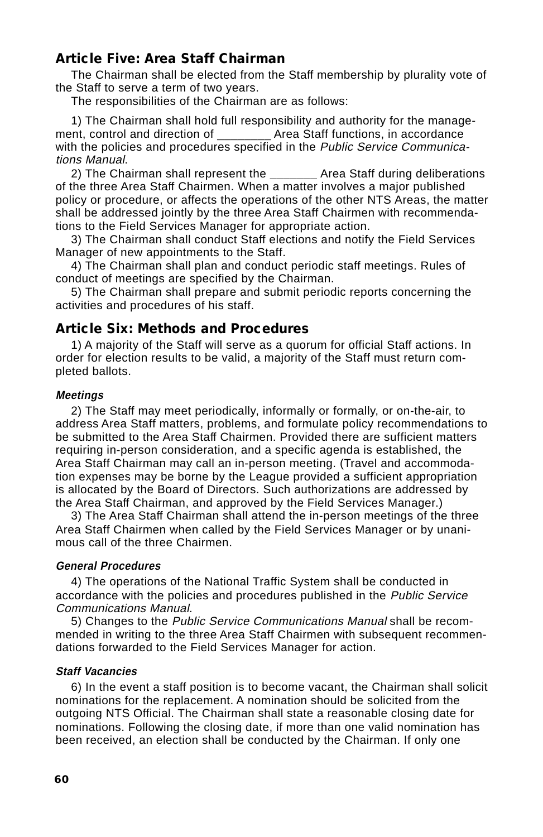## **Article Five: Area Staff Chairman**

The Chairman shall be elected from the Staff membership by plurality vote of the Staff to serve a term of two years.

The responsibilities of the Chairman are as follows:

1) The Chairman shall hold full responsibility and authority for the management, control and direction of \_\_\_\_\_\_\_\_ Area Staff functions, in accordance with the policies and procedures specified in the Public Service Communications Manual.

2) The Chairman shall represent the **\_\_\_\_\_\_\_** Area Staff during deliberations of the three Area Staff Chairmen. When a matter involves a major published policy or procedure, or affects the operations of the other NTS Areas, the matter shall be addressed jointly by the three Area Staff Chairmen with recommendations to the Field Services Manager for appropriate action.

3) The Chairman shall conduct Staff elections and notify the Field Services Manager of new appointments to the Staff.

4) The Chairman shall plan and conduct periodic staff meetings. Rules of conduct of meetings are specified by the Chairman.

5) The Chairman shall prepare and submit periodic reports concerning the activities and procedures of his staff.

### **Article Six: Methods and Procedures**

1) A majority of the Staff will serve as a quorum for official Staff actions. In order for election results to be valid, a majority of the Staff must return completed ballots.

#### **Meetings**

2) The Staff may meet periodically, informally or formally, or on-the-air, to address Area Staff matters, problems, and formulate policy recommendations to be submitted to the Area Staff Chairmen. Provided there are sufficient matters requiring in-person consideration, and a specific agenda is established, the Area Staff Chairman may call an in-person meeting. (Travel and accommodation expenses may be borne by the League provided a sufficient appropriation is allocated by the Board of Directors. Such authorizations are addressed by the Area Staff Chairman, and approved by the Field Services Manager.)

3) The Area Staff Chairman shall attend the in-person meetings of the three Area Staff Chairmen when called by the Field Services Manager or by unanimous call of the three Chairmen.

#### **General Procedures**

4) The operations of the National Traffic System shall be conducted in accordance with the policies and procedures published in the Public Service Communications Manual.

5) Changes to the Public Service Communications Manual shall be recommended in writing to the three Area Staff Chairmen with subsequent recommendations forwarded to the Field Services Manager for action.

#### **Staff Vacancies**

6) In the event a staff position is to become vacant, the Chairman shall solicit nominations for the replacement. A nomination should be solicited from the outgoing NTS Official. The Chairman shall state a reasonable closing date for nominations. Following the closing date, if more than one valid nomination has been received, an election shall be conducted by the Chairman. If only one